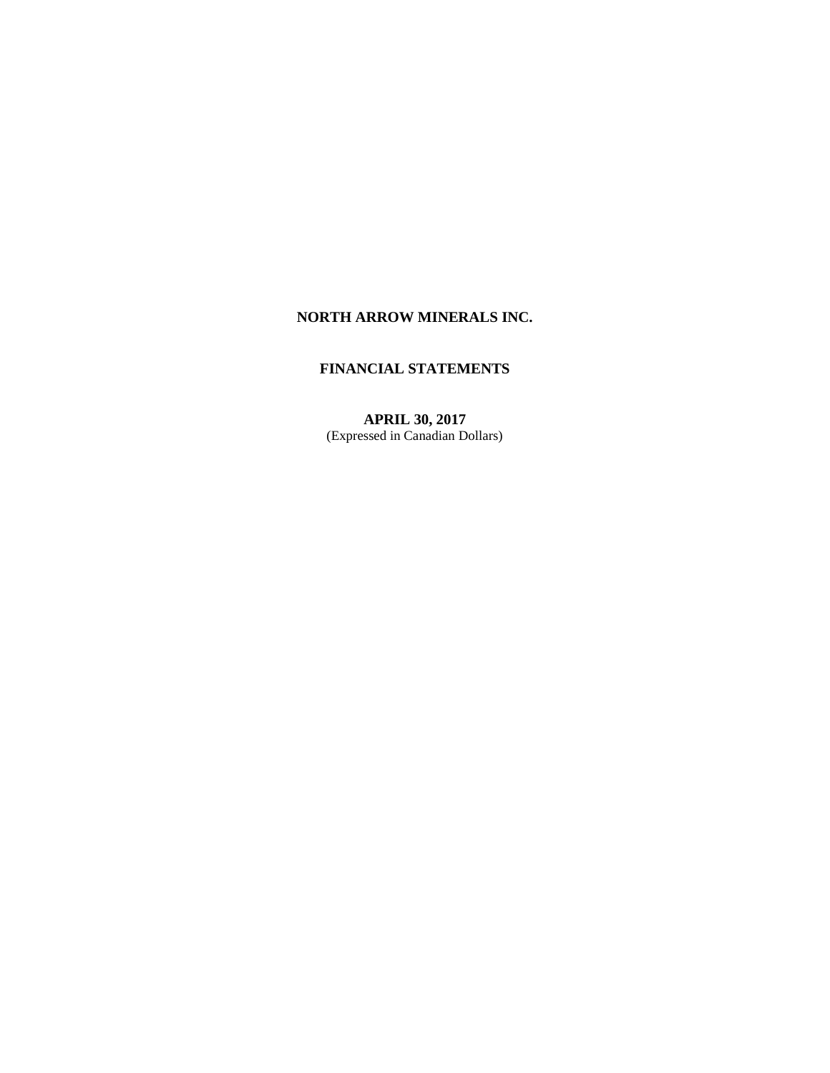# **NORTH ARROW MINERALS INC.**

# **FINANCIAL STATEMENTS**

**APRIL 30, 2017** (Expressed in Canadian Dollars)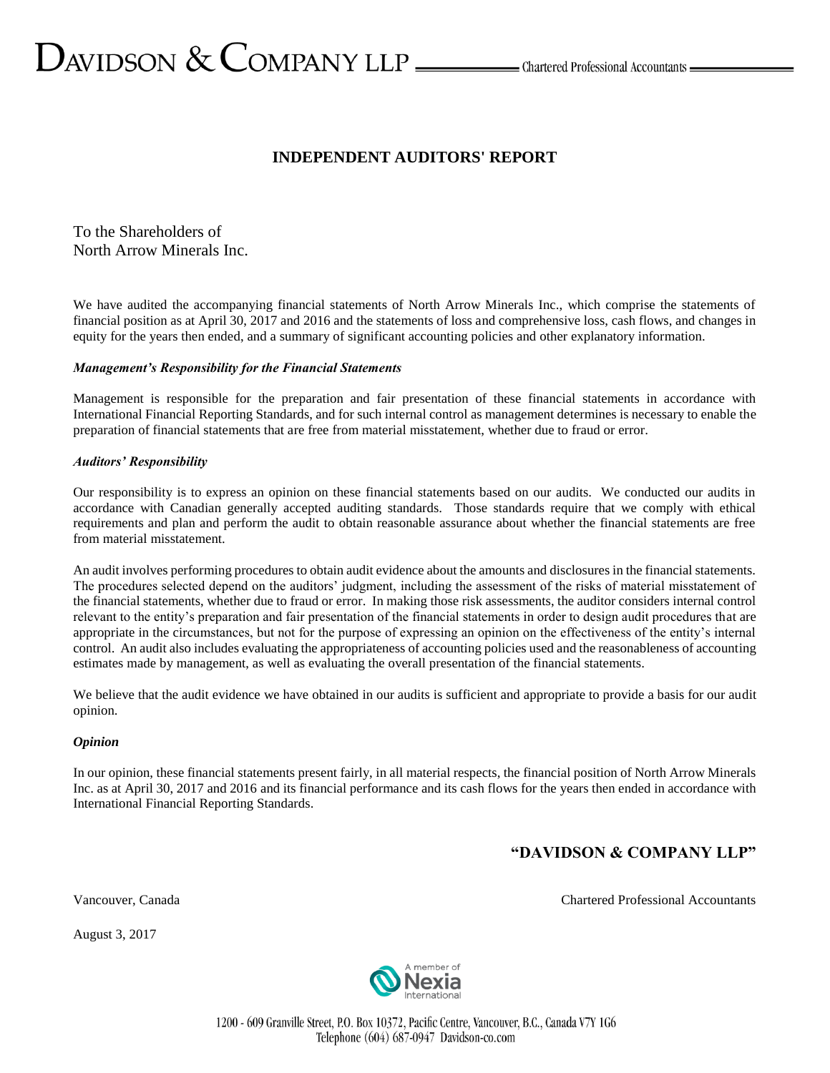# $D_{\text{AVIDSON}} \ \& \ \text{COMPANY LLP} \xrightarrow{\hspace{0.5cm}}$ Chartered Professional Accountants —

# **INDEPENDENT AUDITORS' REPORT**

To the Shareholders of North Arrow Minerals Inc.

We have audited the accompanying financial statements of North Arrow Minerals Inc., which comprise the statements of financial position as at April 30, 2017 and 2016 and the statements of loss and comprehensive loss, cash flows, and changes in equity for the years then ended, and a summary of significant accounting policies and other explanatory information.

# *Management's Responsibility for the Financial Statements*

Management is responsible for the preparation and fair presentation of these financial statements in accordance with International Financial Reporting Standards, and for such internal control as management determines is necessary to enable the preparation of financial statements that are free from material misstatement, whether due to fraud or error.

# *Auditors' Responsibility*

Our responsibility is to express an opinion on these financial statements based on our audits. We conducted our audits in accordance with Canadian generally accepted auditing standards. Those standards require that we comply with ethical requirements and plan and perform the audit to obtain reasonable assurance about whether the financial statements are free from material misstatement.

An audit involves performing procedures to obtain audit evidence about the amounts and disclosures in the financial statements. The procedures selected depend on the auditors' judgment, including the assessment of the risks of material misstatement of the financial statements, whether due to fraud or error. In making those risk assessments, the auditor considers internal control relevant to the entity's preparation and fair presentation of the financial statements in order to design audit procedures that are appropriate in the circumstances, but not for the purpose of expressing an opinion on the effectiveness of the entity's internal control. An audit also includes evaluating the appropriateness of accounting policies used and the reasonableness of accounting estimates made by management, as well as evaluating the overall presentation of the financial statements.

We believe that the audit evidence we have obtained in our audits is sufficient and appropriate to provide a basis for our audit opinion.

# *Opinion*

In our opinion, these financial statements present fairly, in all material respects, the financial position of North Arrow Minerals Inc. as at April 30, 2017 and 2016 and its financial performance and its cash flows for the years then ended in accordance with International Financial Reporting Standards.

# **"DAVIDSON & COMPANY LLP"**

August 3, 2017



1200 - 609 Granville Street, P.O. Box 10372, Pacific Centre, Vancouver, B.C., Canada V7Y 1G6 Telephone (604) 687-0947 Davidson-co.com

Vancouver, Canada Chartered Professional Accountants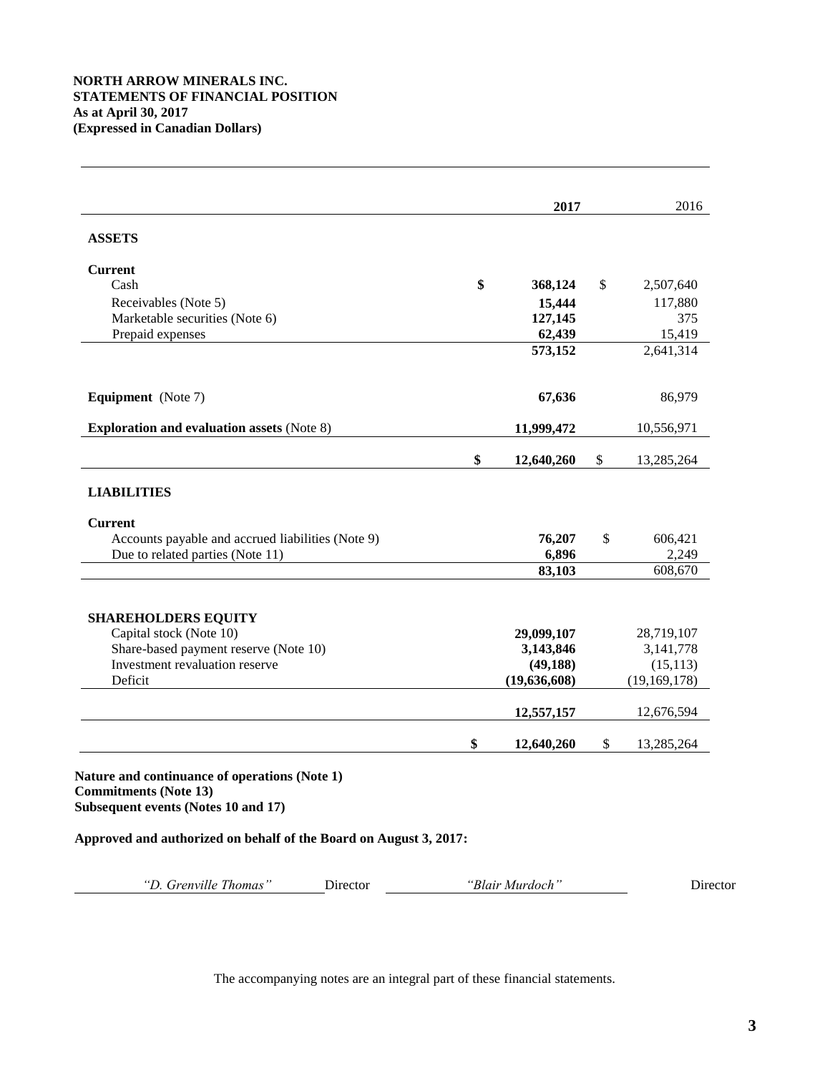# **NORTH ARROW MINERALS INC. STATEMENTS OF FINANCIAL POSITION As at April 30, 2017 (Expressed in Canadian Dollars)**

 $\overline{a}$ 

|                                                                                                                                                                                                                                       | 2017             |                                                        | 2016           |
|---------------------------------------------------------------------------------------------------------------------------------------------------------------------------------------------------------------------------------------|------------------|--------------------------------------------------------|----------------|
| <b>ASSETS</b>                                                                                                                                                                                                                         |                  |                                                        |                |
| <b>Current</b>                                                                                                                                                                                                                        |                  |                                                        |                |
| Cash                                                                                                                                                                                                                                  | \$<br>368,124    | \$                                                     | 2,507,640      |
| Receivables (Note 5)                                                                                                                                                                                                                  | 15,444           |                                                        | 117,880        |
| Marketable securities (Note 6)                                                                                                                                                                                                        | 127,145          |                                                        | 375            |
| Prepaid expenses                                                                                                                                                                                                                      | 62,439           |                                                        | 15,419         |
|                                                                                                                                                                                                                                       | 573,152          |                                                        | 2,641,314      |
| <b>Equipment</b> (Note 7)                                                                                                                                                                                                             | 67,636           |                                                        | 86,979         |
| <b>Exploration and evaluation assets (Note 8)</b>                                                                                                                                                                                     | 11,999,472       |                                                        | 10,556,971     |
|                                                                                                                                                                                                                                       | \$<br>12,640,260 | \$                                                     | 13,285,264     |
| <b>LIABILITIES</b>                                                                                                                                                                                                                    |                  |                                                        |                |
| <b>Current</b>                                                                                                                                                                                                                        |                  |                                                        |                |
| Accounts payable and accrued liabilities (Note 9)                                                                                                                                                                                     | 76,207           | \$                                                     | 606,421        |
| Due to related parties (Note 11)                                                                                                                                                                                                      | 6,896            |                                                        | 2,249          |
|                                                                                                                                                                                                                                       | 83,103           |                                                        | 608,670        |
| <b>SHAREHOLDERS EQUITY</b>                                                                                                                                                                                                            |                  |                                                        |                |
|                                                                                                                                                                                                                                       |                  |                                                        | 28,719,107     |
|                                                                                                                                                                                                                                       |                  |                                                        | 3,141,778      |
|                                                                                                                                                                                                                                       |                  |                                                        | (15, 113)      |
|                                                                                                                                                                                                                                       |                  |                                                        | (19, 169, 178) |
|                                                                                                                                                                                                                                       | 12,557,157       |                                                        | 12,676,594     |
|                                                                                                                                                                                                                                       | \$<br>12,640,260 | \$                                                     | 13,285,264     |
| Capital stock (Note 10)<br>Share-based payment reserve (Note 10)<br>Investment revaluation reserve<br>Deficit<br>Nature and continuance of operations (Note 1)<br><b>Commitments (Note 13)</b><br>Subsequent events (Notes 10 and 17) |                  | 29,099,107<br>3,143,846<br>(49, 188)<br>(19, 636, 608) |                |
| Approved and authorized on behalf of the Board on August 3, 2017:                                                                                                                                                                     |                  |                                                        |                |
|                                                                                                                                                                                                                                       |                  |                                                        |                |
| "D. Grenville Thomas"<br>Director                                                                                                                                                                                                     | "Blair Murdoch"  |                                                        | Director       |

The accompanying notes are an integral part of these financial statements.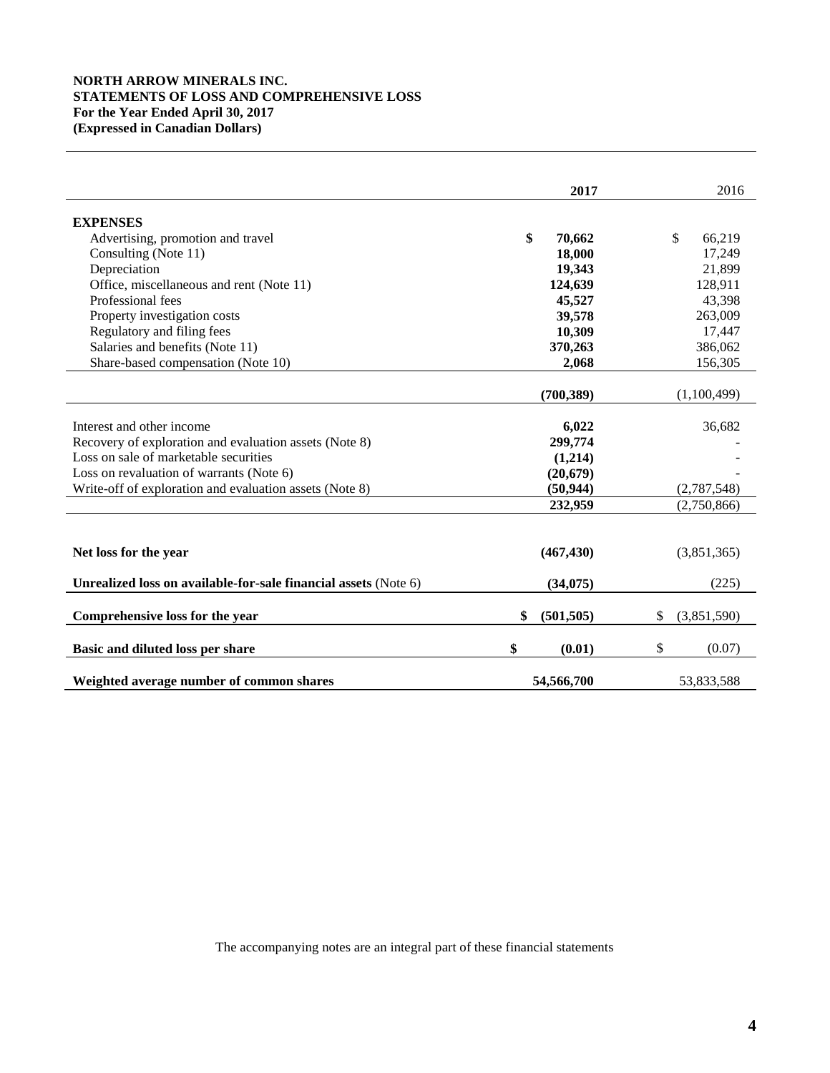# **NORTH ARROW MINERALS INC. STATEMENTS OF LOSS AND COMPREHENSIVE LOSS For the Year Ended April 30, 2017 (Expressed in Canadian Dollars)**

|                                                                 | 2017             | 2016              |
|-----------------------------------------------------------------|------------------|-------------------|
| <b>EXPENSES</b>                                                 |                  |                   |
| Advertising, promotion and travel                               | \$<br>70,662     | \$<br>66,219      |
| Consulting (Note 11)                                            | 18,000           | 17,249            |
| Depreciation                                                    | 19,343           | 21,899            |
| Office, miscellaneous and rent (Note 11)                        | 124,639          | 128,911           |
| Professional fees                                               | 45,527           | 43,398            |
| Property investigation costs                                    | 39,578           | 263,009           |
| Regulatory and filing fees                                      | 10,309           | 17,447            |
| Salaries and benefits (Note 11)                                 | 370,263          | 386,062           |
| Share-based compensation (Note 10)                              | 2,068            | 156,305           |
|                                                                 | (700, 389)       | (1,100,499)       |
|                                                                 |                  |                   |
| Interest and other income                                       | 6,022            | 36,682            |
| Recovery of exploration and evaluation assets (Note 8)          | 299,774          |                   |
| Loss on sale of marketable securities                           | (1,214)          |                   |
| Loss on revaluation of warrants (Note 6)                        | (20, 679)        |                   |
| Write-off of exploration and evaluation assets (Note 8)         | (50, 944)        | (2,787,548)       |
|                                                                 | 232,959          | (2,750,866)       |
|                                                                 |                  |                   |
| Net loss for the year                                           | (467, 430)       | (3,851,365)       |
| Unrealized loss on available-for-sale financial assets (Note 6) | (34,075)         | (225)             |
| Comprehensive loss for the year                                 | \$<br>(501, 505) | \$<br>(3,851,590) |
|                                                                 |                  |                   |
| Basic and diluted loss per share                                | \$<br>(0.01)     | \$<br>(0.07)      |
| Weighted average number of common shares                        | 54,566,700       | 53,833,588        |

The accompanying notes are an integral part of these financial statements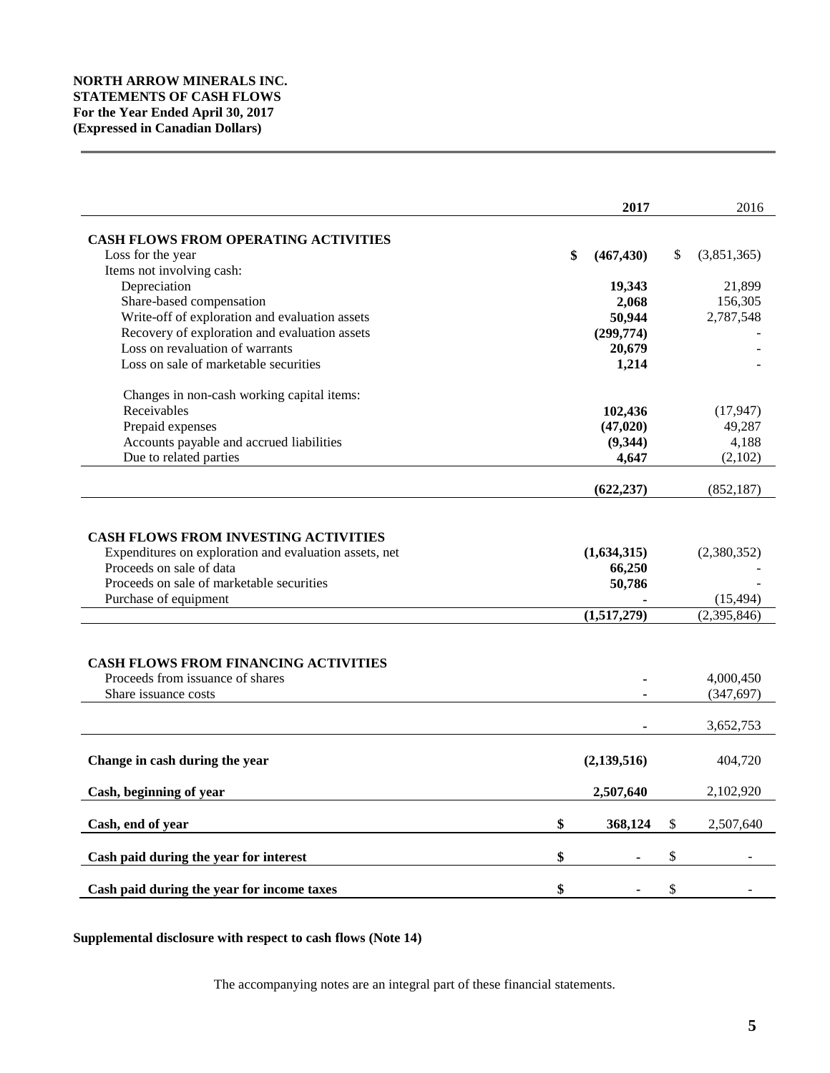|                                                                                                                                                                                                         | 2017                                           | 2016                                      |
|---------------------------------------------------------------------------------------------------------------------------------------------------------------------------------------------------------|------------------------------------------------|-------------------------------------------|
|                                                                                                                                                                                                         |                                                |                                           |
| <b>CASH FLOWS FROM OPERATING ACTIVITIES</b>                                                                                                                                                             |                                                |                                           |
| Loss for the year                                                                                                                                                                                       | \$<br>(467, 430)                               | \$<br>(3,851,365)                         |
| Items not involving cash:<br>Depreciation                                                                                                                                                               |                                                | 21,899                                    |
|                                                                                                                                                                                                         | 19,343<br>2,068                                | 156,305                                   |
| Share-based compensation<br>Write-off of exploration and evaluation assets                                                                                                                              | 50,944                                         | 2,787,548                                 |
| Recovery of exploration and evaluation assets                                                                                                                                                           |                                                |                                           |
| Loss on revaluation of warrants                                                                                                                                                                         | (299,774)                                      |                                           |
| Loss on sale of marketable securities                                                                                                                                                                   | 20,679                                         |                                           |
|                                                                                                                                                                                                         | 1,214                                          |                                           |
| Changes in non-cash working capital items:                                                                                                                                                              |                                                |                                           |
| Receivables                                                                                                                                                                                             | 102,436                                        | (17, 947)                                 |
| Prepaid expenses                                                                                                                                                                                        | (47, 020)                                      | 49,287                                    |
| Accounts payable and accrued liabilities                                                                                                                                                                | (9, 344)                                       | 4,188                                     |
| Due to related parties                                                                                                                                                                                  | 4,647                                          | (2,102)                                   |
|                                                                                                                                                                                                         |                                                |                                           |
|                                                                                                                                                                                                         | (622, 237)                                     | (852, 187)                                |
| <b>CASH FLOWS FROM INVESTING ACTIVITIES</b><br>Expenditures on exploration and evaluation assets, net<br>Proceeds on sale of data<br>Proceeds on sale of marketable securities<br>Purchase of equipment | (1,634,315)<br>66,250<br>50,786<br>(1,517,279) | (2,380,352)<br>(15, 494)<br>(2, 395, 846) |
|                                                                                                                                                                                                         |                                                |                                           |
| <b>CASH FLOWS FROM FINANCING ACTIVITIES</b>                                                                                                                                                             |                                                |                                           |
| Proceeds from issuance of shares                                                                                                                                                                        |                                                | 4,000,450                                 |
| Share issuance costs                                                                                                                                                                                    |                                                | (347, 697)                                |
|                                                                                                                                                                                                         |                                                | 3,652,753                                 |
| Change in cash during the year                                                                                                                                                                          | (2, 139, 516)                                  | 404,720                                   |
| Cash, beginning of year                                                                                                                                                                                 | 2,507,640                                      | 2,102,920                                 |
| Cash, end of year                                                                                                                                                                                       | \$<br>368,124                                  | \$<br>2,507,640                           |
|                                                                                                                                                                                                         |                                                |                                           |
| Cash paid during the year for interest                                                                                                                                                                  | \$                                             | \$                                        |
| Cash paid during the year for income taxes                                                                                                                                                              | \$                                             | \$                                        |

**Supplemental disclosure with respect to cash flows (Note 14)**

The accompanying notes are an integral part of these financial statements.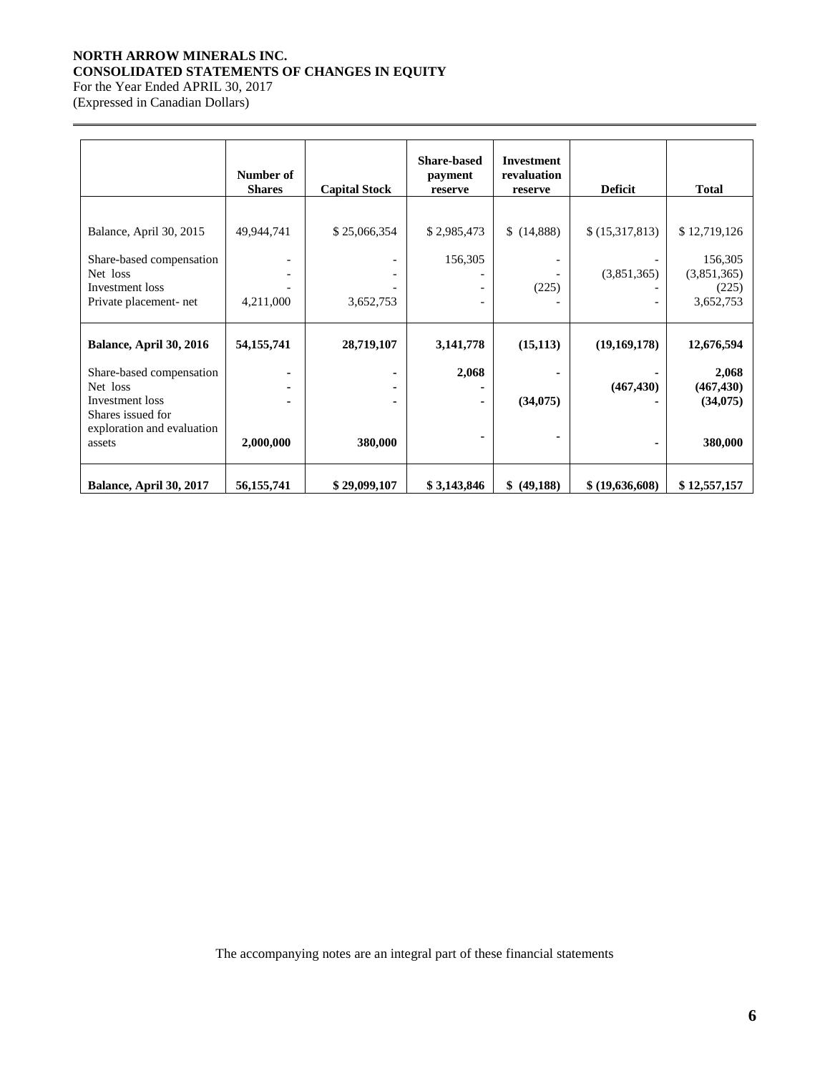# **NORTH ARROW MINERALS INC. CONSOLIDATED STATEMENTS OF CHANGES IN EQUITY**

For the Year Ended APRIL 30, 2017 (Expressed in Canadian Dollars)

|                                      | Number of<br><b>Shares</b> | <b>Capital Stock</b> | <b>Share-based</b><br>payment<br>reserve | <b>Investment</b><br>revaluation<br>reserve | <b>Deficit</b>  | <b>Total</b> |
|--------------------------------------|----------------------------|----------------------|------------------------------------------|---------------------------------------------|-----------------|--------------|
|                                      |                            |                      |                                          |                                             |                 |              |
| Balance, April 30, 2015              | 49,944,741                 | \$25,066,354         | \$2,985,473                              | \$(14,888)                                  | \$(15,317,813)  | \$12,719,126 |
| Share-based compensation             |                            |                      | 156,305                                  |                                             |                 | 156,305      |
| Net loss                             |                            |                      |                                          |                                             | (3,851,365)     | (3,851,365)  |
| Investment loss                      |                            |                      |                                          | (225)                                       |                 | (225)        |
| Private placement-net                | 4,211,000                  | 3,652,753            |                                          |                                             |                 | 3,652,753    |
|                                      |                            |                      |                                          |                                             |                 |              |
| Balance, April 30, 2016              | 54, 155, 741               | 28,719,107           | 3, 141, 778                              | (15, 113)                                   | (19,169,178)    | 12,676,594   |
| Share-based compensation             |                            |                      | 2,068                                    |                                             |                 | 2,068        |
| Net loss                             |                            |                      |                                          |                                             | (467, 430)      | (467, 430)   |
| Investment loss                      |                            |                      |                                          | (34,075)                                    |                 | (34,075)     |
| Shares issued for                    |                            |                      |                                          |                                             |                 |              |
| exploration and evaluation<br>assets | 2,000,000                  | 380,000              |                                          |                                             |                 | 380,000      |
|                                      |                            |                      |                                          |                                             |                 |              |
|                                      |                            |                      |                                          |                                             |                 |              |
| Balance, April 30, 2017              | 56, 155, 741               | \$29,099,107         | \$3,143,846                              | \$ (49,188)                                 | \$ (19,636,608) | \$12,557,157 |

The accompanying notes are an integral part of these financial statements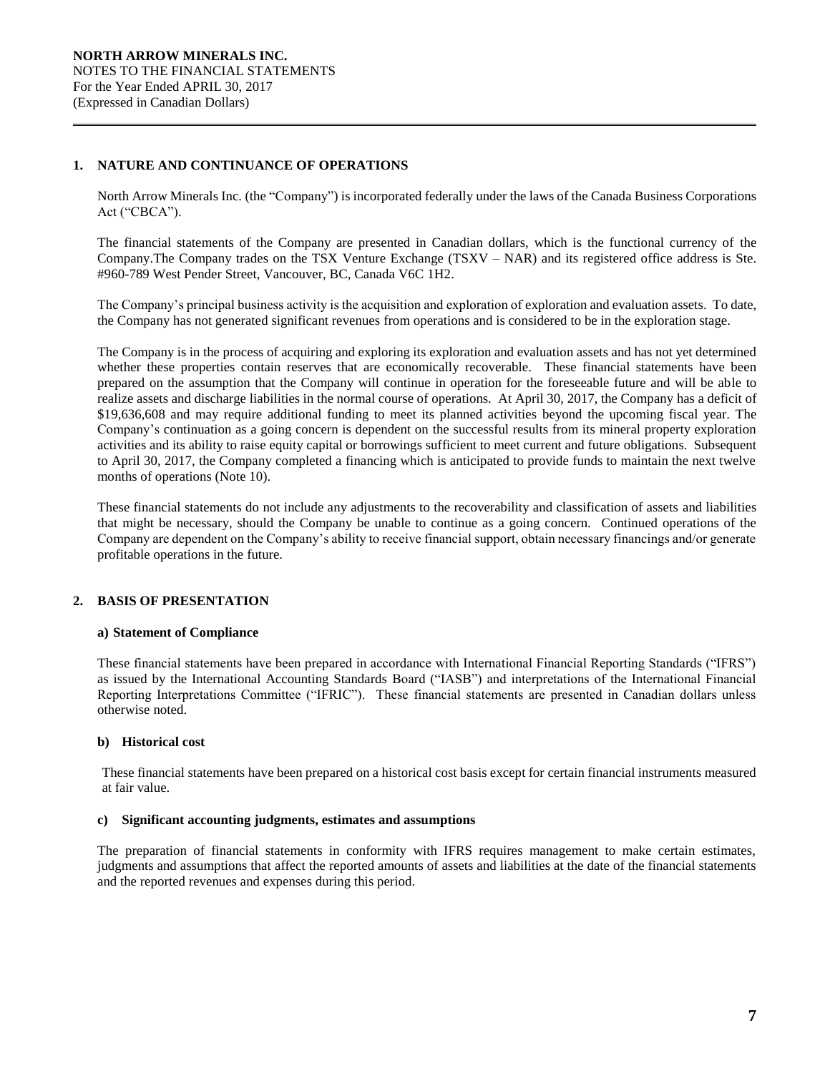# **1. NATURE AND CONTINUANCE OF OPERATIONS**

North Arrow Minerals Inc. (the "Company") is incorporated federally under the laws of the Canada Business Corporations Act ("CBCA").

The financial statements of the Company are presented in Canadian dollars, which is the functional currency of the Company.The Company trades on the TSX Venture Exchange (TSXV – NAR) and its registered office address is Ste. #960-789 West Pender Street, Vancouver, BC, Canada V6C 1H2.

The Company's principal business activity is the acquisition and exploration of exploration and evaluation assets. To date, the Company has not generated significant revenues from operations and is considered to be in the exploration stage.

The Company is in the process of acquiring and exploring its exploration and evaluation assets and has not yet determined whether these properties contain reserves that are economically recoverable. These financial statements have been prepared on the assumption that the Company will continue in operation for the foreseeable future and will be able to realize assets and discharge liabilities in the normal course of operations. At April 30, 2017, the Company has a deficit of \$19,636,608 and may require additional funding to meet its planned activities beyond the upcoming fiscal year. The Company's continuation as a going concern is dependent on the successful results from its mineral property exploration activities and its ability to raise equity capital or borrowings sufficient to meet current and future obligations. Subsequent to April 30, 2017, the Company completed a financing which is anticipated to provide funds to maintain the next twelve months of operations (Note 10).

These financial statements do not include any adjustments to the recoverability and classification of assets and liabilities that might be necessary, should the Company be unable to continue as a going concern. Continued operations of the Company are dependent on the Company's ability to receive financial support, obtain necessary financings and/or generate profitable operations in the future.

# **2. BASIS OF PRESENTATION**

## **a) Statement of Compliance**

These financial statements have been prepared in accordance with International Financial Reporting Standards ("IFRS") as issued by the International Accounting Standards Board ("IASB") and interpretations of the International Financial Reporting Interpretations Committee ("IFRIC"). These financial statements are presented in Canadian dollars unless otherwise noted.

# **b) Historical cost**

These financial statements have been prepared on a historical cost basis except for certain financial instruments measured at fair value.

# **c) Significant accounting judgments, estimates and assumptions**

The preparation of financial statements in conformity with IFRS requires management to make certain estimates, judgments and assumptions that affect the reported amounts of assets and liabilities at the date of the financial statements and the reported revenues and expenses during this period.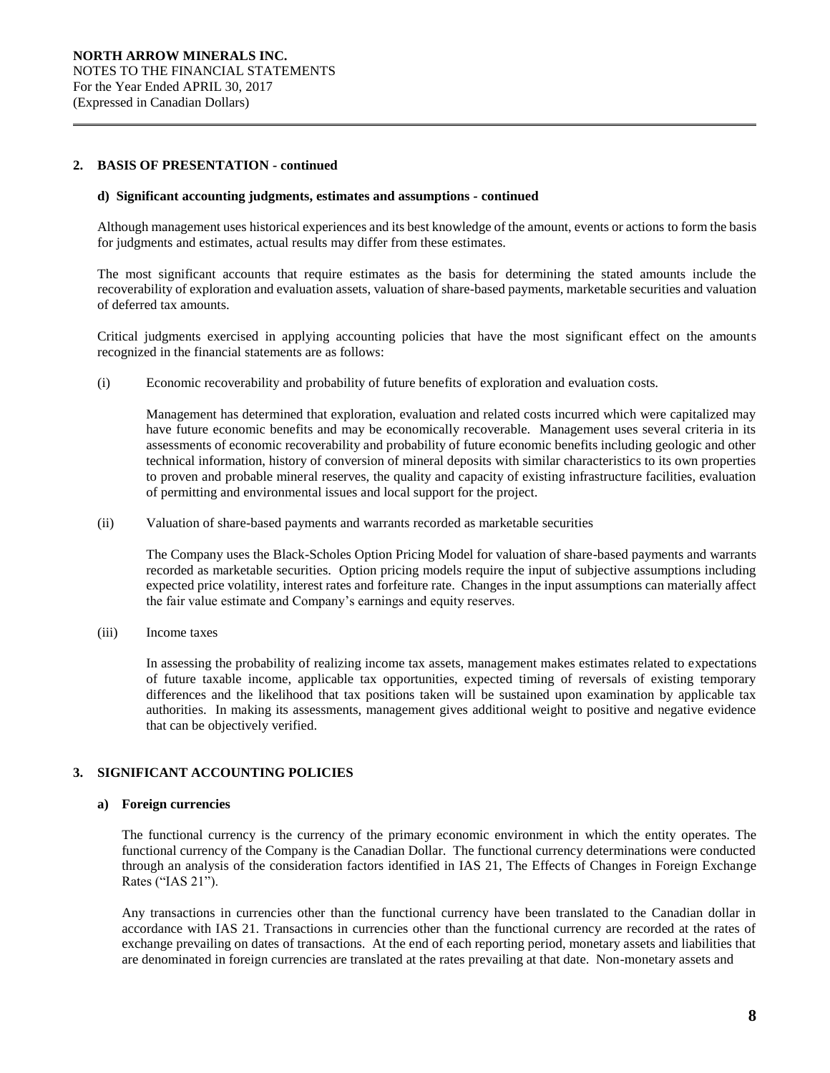# **2. BASIS OF PRESENTATION - continued**

#### **d) Significant accounting judgments, estimates and assumptions** *-* **continued**

Although management uses historical experiences and its best knowledge of the amount, events or actions to form the basis for judgments and estimates, actual results may differ from these estimates.

The most significant accounts that require estimates as the basis for determining the stated amounts include the recoverability of exploration and evaluation assets, valuation of share-based payments, marketable securities and valuation of deferred tax amounts.

Critical judgments exercised in applying accounting policies that have the most significant effect on the amounts recognized in the financial statements are as follows:

(i) Economic recoverability and probability of future benefits of exploration and evaluation costs*.* 

Management has determined that exploration, evaluation and related costs incurred which were capitalized may have future economic benefits and may be economically recoverable. Management uses several criteria in its assessments of economic recoverability and probability of future economic benefits including geologic and other technical information, history of conversion of mineral deposits with similar characteristics to its own properties to proven and probable mineral reserves, the quality and capacity of existing infrastructure facilities, evaluation of permitting and environmental issues and local support for the project.

(ii) Valuation of share-based payments and warrants recorded as marketable securities

The Company uses the Black-Scholes Option Pricing Model for valuation of share-based payments and warrants recorded as marketable securities. Option pricing models require the input of subjective assumptions including expected price volatility, interest rates and forfeiture rate. Changes in the input assumptions can materially affect the fair value estimate and Company's earnings and equity reserves.

(iii) Income taxes

In assessing the probability of realizing income tax assets, management makes estimates related to expectations of future taxable income, applicable tax opportunities, expected timing of reversals of existing temporary differences and the likelihood that tax positions taken will be sustained upon examination by applicable tax authorities. In making its assessments, management gives additional weight to positive and negative evidence that can be objectively verified.

## **3. SIGNIFICANT ACCOUNTING POLICIES**

## **a) Foreign currencies**

The functional currency is the currency of the primary economic environment in which the entity operates. The functional currency of the Company is the Canadian Dollar. The functional currency determinations were conducted through an analysis of the consideration factors identified in IAS 21, The Effects of Changes in Foreign Exchange Rates ("IAS 21").

Any transactions in currencies other than the functional currency have been translated to the Canadian dollar in accordance with IAS 21. Transactions in currencies other than the functional currency are recorded at the rates of exchange prevailing on dates of transactions. At the end of each reporting period, monetary assets and liabilities that are denominated in foreign currencies are translated at the rates prevailing at that date. Non-monetary assets and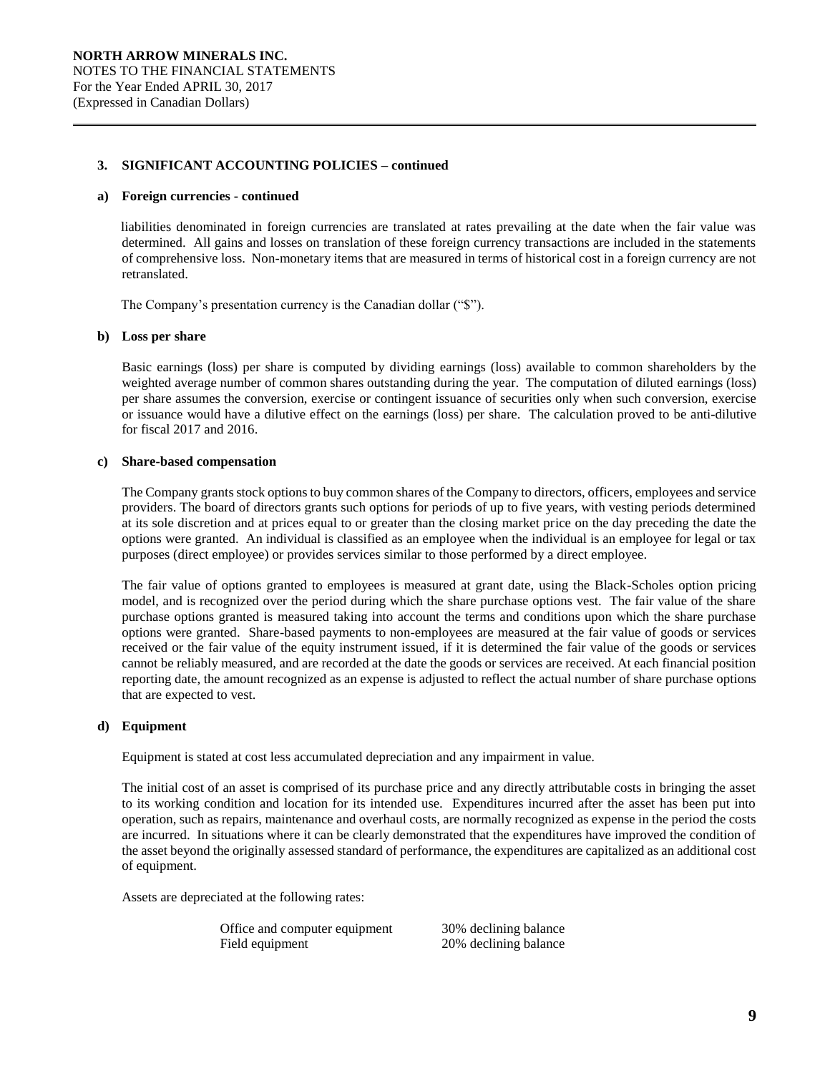#### **a) Foreign currencies - continued**

liabilities denominated in foreign currencies are translated at rates prevailing at the date when the fair value was determined. All gains and losses on translation of these foreign currency transactions are included in the statements of comprehensive loss. Non-monetary items that are measured in terms of historical cost in a foreign currency are not retranslated.

The Company's presentation currency is the Canadian dollar ("\$").

#### **b) Loss per share**

Basic earnings (loss) per share is computed by dividing earnings (loss) available to common shareholders by the weighted average number of common shares outstanding during the year. The computation of diluted earnings (loss) per share assumes the conversion, exercise or contingent issuance of securities only when such conversion, exercise or issuance would have a dilutive effect on the earnings (loss) per share. The calculation proved to be anti-dilutive for fiscal 2017 and 2016.

#### **c) Share-based compensation**

The Company grants stock options to buy common shares of the Company to directors, officers, employees and service providers. The board of directors grants such options for periods of up to five years, with vesting periods determined at its sole discretion and at prices equal to or greater than the closing market price on the day preceding the date the options were granted. An individual is classified as an employee when the individual is an employee for legal or tax purposes (direct employee) or provides services similar to those performed by a direct employee.

The fair value of options granted to employees is measured at grant date, using the Black-Scholes option pricing model, and is recognized over the period during which the share purchase options vest. The fair value of the share purchase options granted is measured taking into account the terms and conditions upon which the share purchase options were granted. Share-based payments to non-employees are measured at the fair value of goods or services received or the fair value of the equity instrument issued, if it is determined the fair value of the goods or services cannot be reliably measured, and are recorded at the date the goods or services are received. At each financial position reporting date, the amount recognized as an expense is adjusted to reflect the actual number of share purchase options that are expected to vest.

## **d) Equipment**

Equipment is stated at cost less accumulated depreciation and any impairment in value.

The initial cost of an asset is comprised of its purchase price and any directly attributable costs in bringing the asset to its working condition and location for its intended use. Expenditures incurred after the asset has been put into operation, such as repairs, maintenance and overhaul costs, are normally recognized as expense in the period the costs are incurred. In situations where it can be clearly demonstrated that the expenditures have improved the condition of the asset beyond the originally assessed standard of performance, the expenditures are capitalized as an additional cost of equipment.

Assets are depreciated at the following rates:

Office and computer equipment 30% declining balance Field equipment 20% declining balance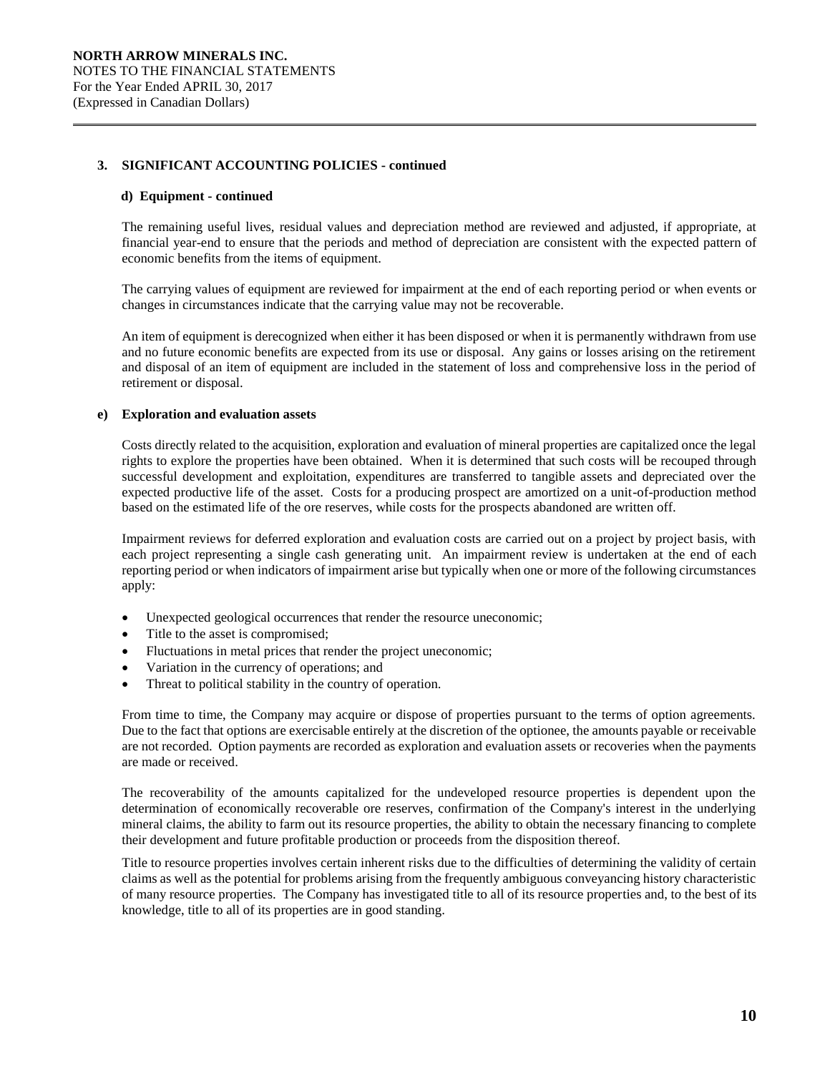## **d) Equipment - continued**

The remaining useful lives, residual values and depreciation method are reviewed and adjusted, if appropriate, at financial year-end to ensure that the periods and method of depreciation are consistent with the expected pattern of economic benefits from the items of equipment.

The carrying values of equipment are reviewed for impairment at the end of each reporting period or when events or changes in circumstances indicate that the carrying value may not be recoverable.

An item of equipment is derecognized when either it has been disposed or when it is permanently withdrawn from use and no future economic benefits are expected from its use or disposal. Any gains or losses arising on the retirement and disposal of an item of equipment are included in the statement of loss and comprehensive loss in the period of retirement or disposal.

## **e) Exploration and evaluation assets**

Costs directly related to the acquisition, exploration and evaluation of mineral properties are capitalized once the legal rights to explore the properties have been obtained. When it is determined that such costs will be recouped through successful development and exploitation, expenditures are transferred to tangible assets and depreciated over the expected productive life of the asset. Costs for a producing prospect are amortized on a unit-of-production method based on the estimated life of the ore reserves, while costs for the prospects abandoned are written off.

Impairment reviews for deferred exploration and evaluation costs are carried out on a project by project basis, with each project representing a single cash generating unit. An impairment review is undertaken at the end of each reporting period or when indicators of impairment arise but typically when one or more of the following circumstances apply:

- Unexpected geological occurrences that render the resource uneconomic;
- Title to the asset is compromised;
- Fluctuations in metal prices that render the project uneconomic;
- Variation in the currency of operations; and
- Threat to political stability in the country of operation.

From time to time, the Company may acquire or dispose of properties pursuant to the terms of option agreements. Due to the fact that options are exercisable entirely at the discretion of the optionee, the amounts payable or receivable are not recorded. Option payments are recorded as exploration and evaluation assets or recoveries when the payments are made or received.

The recoverability of the amounts capitalized for the undeveloped resource properties is dependent upon the determination of economically recoverable ore reserves, confirmation of the Company's interest in the underlying mineral claims, the ability to farm out its resource properties, the ability to obtain the necessary financing to complete their development and future profitable production or proceeds from the disposition thereof.

Title to resource properties involves certain inherent risks due to the difficulties of determining the validity of certain claims as well as the potential for problems arising from the frequently ambiguous conveyancing history characteristic of many resource properties. The Company has investigated title to all of its resource properties and, to the best of its knowledge, title to all of its properties are in good standing.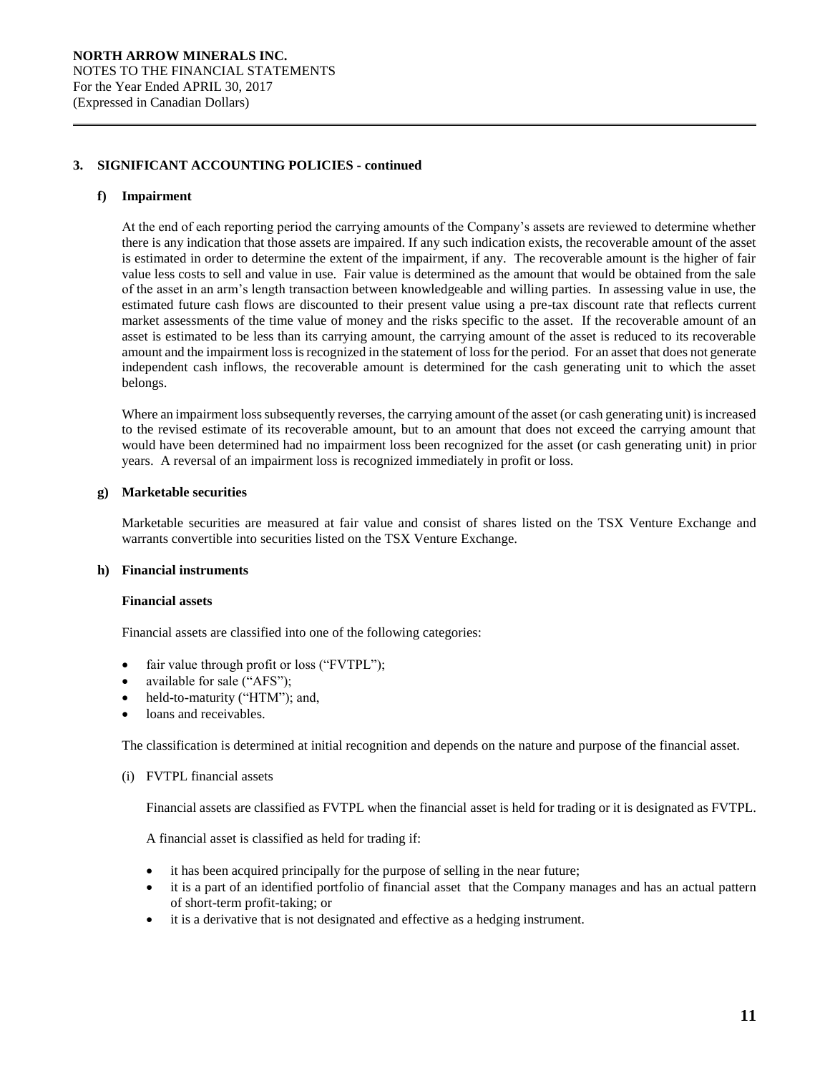## **f) Impairment**

At the end of each reporting period the carrying amounts of the Company's assets are reviewed to determine whether there is any indication that those assets are impaired. If any such indication exists, the recoverable amount of the asset is estimated in order to determine the extent of the impairment, if any. The recoverable amount is the higher of fair value less costs to sell and value in use. Fair value is determined as the amount that would be obtained from the sale of the asset in an arm's length transaction between knowledgeable and willing parties. In assessing value in use, the estimated future cash flows are discounted to their present value using a pre-tax discount rate that reflects current market assessments of the time value of money and the risks specific to the asset. If the recoverable amount of an asset is estimated to be less than its carrying amount, the carrying amount of the asset is reduced to its recoverable amount and the impairment loss is recognized in the statement of loss for the period. For an asset that does not generate independent cash inflows, the recoverable amount is determined for the cash generating unit to which the asset belongs.

Where an impairment loss subsequently reverses, the carrying amount of the asset (or cash generating unit) is increased to the revised estimate of its recoverable amount, but to an amount that does not exceed the carrying amount that would have been determined had no impairment loss been recognized for the asset (or cash generating unit) in prior years. A reversal of an impairment loss is recognized immediately in profit or loss.

#### **g) Marketable securities**

Marketable securities are measured at fair value and consist of shares listed on the TSX Venture Exchange and warrants convertible into securities listed on the TSX Venture Exchange.

## **h) Financial instruments**

## **Financial assets**

Financial assets are classified into one of the following categories:

- fair value through profit or loss ("FVTPL");
- available for sale ("AFS");
- held-to-maturity ("HTM"); and,
- loans and receivables.

The classification is determined at initial recognition and depends on the nature and purpose of the financial asset.

#### (i) FVTPL financial assets

Financial assets are classified as FVTPL when the financial asset is held for trading or it is designated as FVTPL.

A financial asset is classified as held for trading if:

- it has been acquired principally for the purpose of selling in the near future;
- it is a part of an identified portfolio of financial asset that the Company manages and has an actual pattern of short-term profit-taking; or
- it is a derivative that is not designated and effective as a hedging instrument.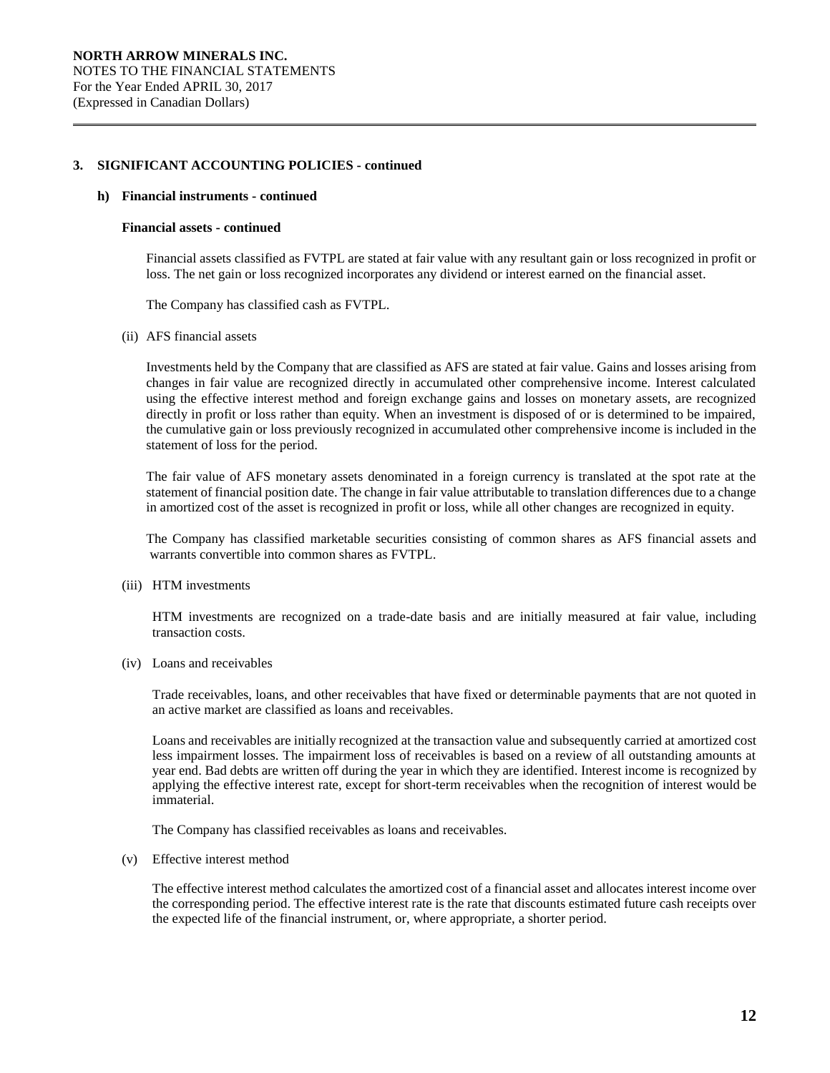#### **h) Financial instruments - continued**

#### **Financial assets - continued**

Financial assets classified as FVTPL are stated at fair value with any resultant gain or loss recognized in profit or loss. The net gain or loss recognized incorporates any dividend or interest earned on the financial asset.

The Company has classified cash as FVTPL.

#### (ii) AFS financial assets

Investments held by the Company that are classified as AFS are stated at fair value. Gains and losses arising from changes in fair value are recognized directly in accumulated other comprehensive income. Interest calculated using the effective interest method and foreign exchange gains and losses on monetary assets, are recognized directly in profit or loss rather than equity. When an investment is disposed of or is determined to be impaired, the cumulative gain or loss previously recognized in accumulated other comprehensive income is included in the statement of loss for the period.

The fair value of AFS monetary assets denominated in a foreign currency is translated at the spot rate at the statement of financial position date. The change in fair value attributable to translation differences due to a change in amortized cost of the asset is recognized in profit or loss, while all other changes are recognized in equity.

The Company has classified marketable securities consisting of common shares as AFS financial assets and warrants convertible into common shares as FVTPL.

(iii) HTM investments

HTM investments are recognized on a trade-date basis and are initially measured at fair value, including transaction costs.

(iv) Loans and receivables

Trade receivables, loans, and other receivables that have fixed or determinable payments that are not quoted in an active market are classified as loans and receivables.

Loans and receivables are initially recognized at the transaction value and subsequently carried at amortized cost less impairment losses. The impairment loss of receivables is based on a review of all outstanding amounts at year end. Bad debts are written off during the year in which they are identified. Interest income is recognized by applying the effective interest rate, except for short-term receivables when the recognition of interest would be immaterial.

The Company has classified receivables as loans and receivables.

(v) Effective interest method

The effective interest method calculates the amortized cost of a financial asset and allocates interest income over the corresponding period. The effective interest rate is the rate that discounts estimated future cash receipts over the expected life of the financial instrument, or, where appropriate, a shorter period.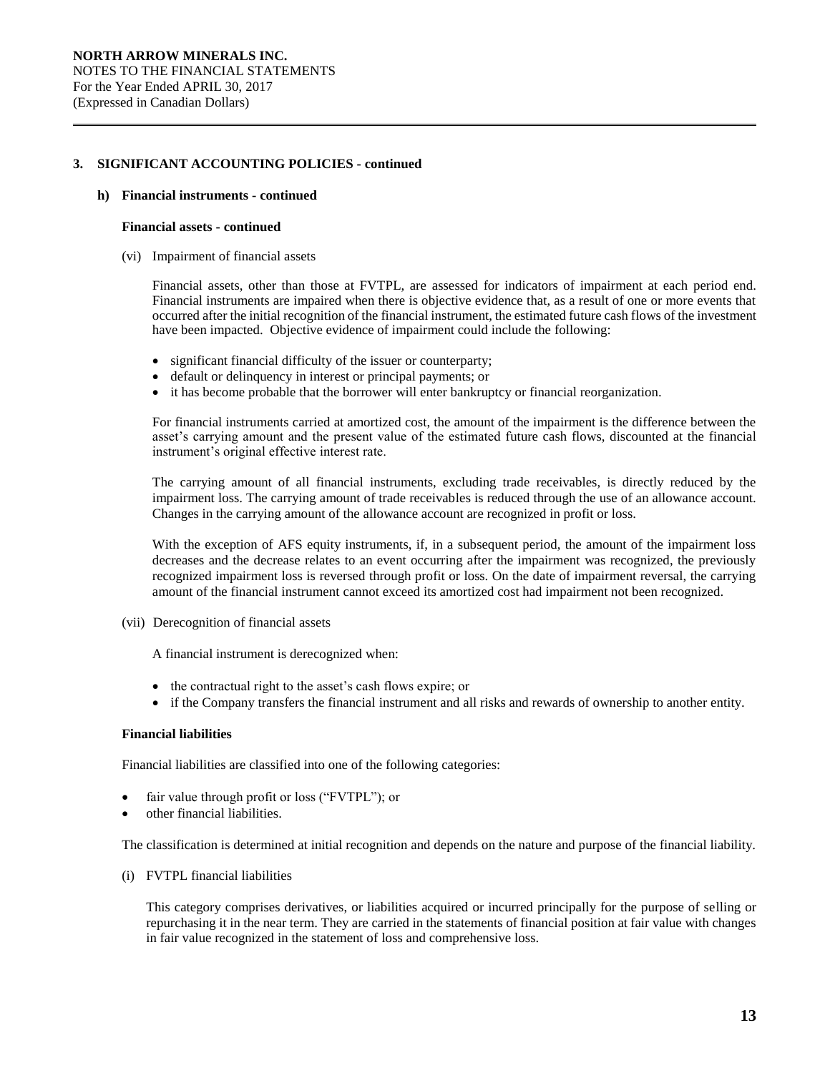#### **h) Financial instruments - continued**

#### **Financial assets - continued**

(vi) Impairment of financial assets

Financial assets, other than those at FVTPL, are assessed for indicators of impairment at each period end. Financial instruments are impaired when there is objective evidence that, as a result of one or more events that occurred after the initial recognition of the financial instrument, the estimated future cash flows of the investment have been impacted. Objective evidence of impairment could include the following:

- significant financial difficulty of the issuer or counterparty;
- default or delinquency in interest or principal payments; or
- it has become probable that the borrower will enter bankruptcy or financial reorganization.

For financial instruments carried at amortized cost, the amount of the impairment is the difference between the asset's carrying amount and the present value of the estimated future cash flows, discounted at the financial instrument's original effective interest rate.

The carrying amount of all financial instruments, excluding trade receivables, is directly reduced by the impairment loss. The carrying amount of trade receivables is reduced through the use of an allowance account. Changes in the carrying amount of the allowance account are recognized in profit or loss.

With the exception of AFS equity instruments, if, in a subsequent period, the amount of the impairment loss decreases and the decrease relates to an event occurring after the impairment was recognized, the previously recognized impairment loss is reversed through profit or loss. On the date of impairment reversal, the carrying amount of the financial instrument cannot exceed its amortized cost had impairment not been recognized.

(vii) Derecognition of financial assets

A financial instrument is derecognized when:

- the contractual right to the asset's cash flows expire; or
- if the Company transfers the financial instrument and all risks and rewards of ownership to another entity.

## **Financial liabilities**

Financial liabilities are classified into one of the following categories:

- fair value through profit or loss ("FVTPL"); or
- other financial liabilities.

The classification is determined at initial recognition and depends on the nature and purpose of the financial liability.

(i) FVTPL financial liabilities

This category comprises derivatives, or liabilities acquired or incurred principally for the purpose of selling or repurchasing it in the near term. They are carried in the statements of financial position at fair value with changes in fair value recognized in the statement of loss and comprehensive loss.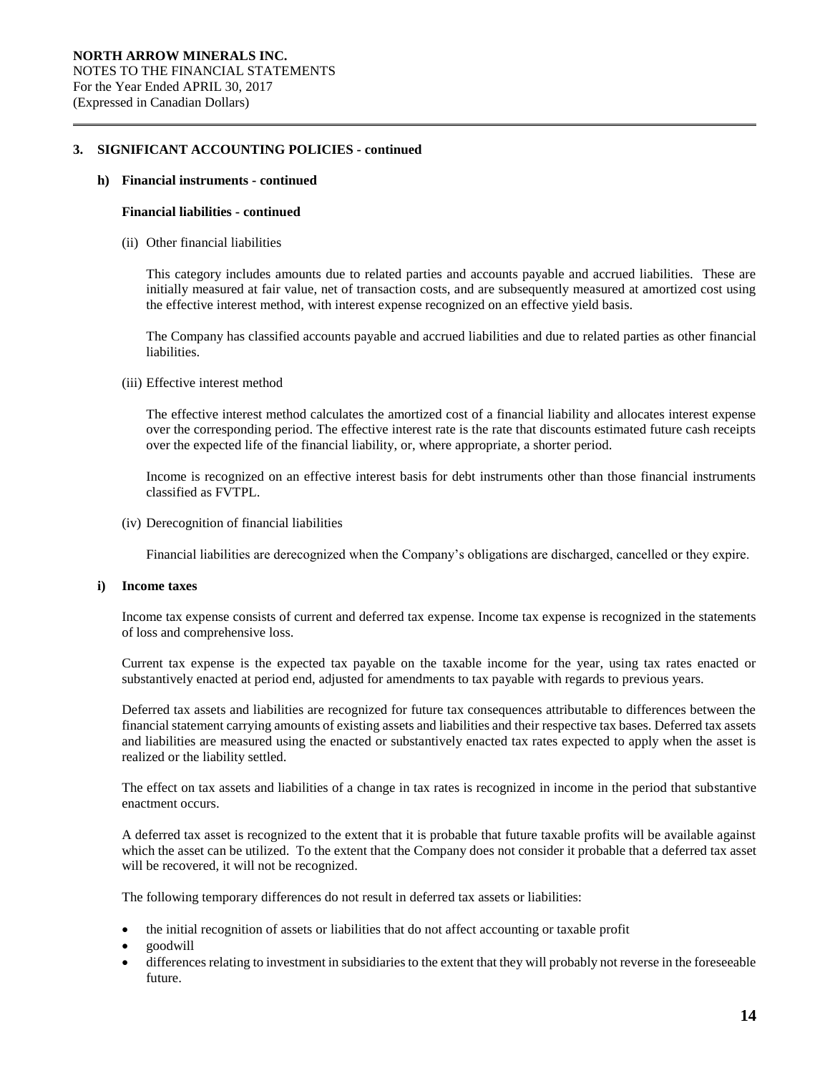# **h) Financial instruments - continued**

# **Financial liabilities - continued**

(ii) Other financial liabilities

This category includes amounts due to related parties and accounts payable and accrued liabilities. These are initially measured at fair value, net of transaction costs, and are subsequently measured at amortized cost using the effective interest method, with interest expense recognized on an effective yield basis.

The Company has classified accounts payable and accrued liabilities and due to related parties as other financial liabilities.

#### (iii) Effective interest method

The effective interest method calculates the amortized cost of a financial liability and allocates interest expense over the corresponding period. The effective interest rate is the rate that discounts estimated future cash receipts over the expected life of the financial liability, or, where appropriate, a shorter period.

Income is recognized on an effective interest basis for debt instruments other than those financial instruments classified as FVTPL.

# (iv) Derecognition of financial liabilities

Financial liabilities are derecognized when the Company's obligations are discharged, cancelled or they expire.

#### **i) Income taxes**

Income tax expense consists of current and deferred tax expense. Income tax expense is recognized in the statements of loss and comprehensive loss.

Current tax expense is the expected tax payable on the taxable income for the year, using tax rates enacted or substantively enacted at period end, adjusted for amendments to tax payable with regards to previous years.

Deferred tax assets and liabilities are recognized for future tax consequences attributable to differences between the financial statement carrying amounts of existing assets and liabilities and their respective tax bases. Deferred tax assets and liabilities are measured using the enacted or substantively enacted tax rates expected to apply when the asset is realized or the liability settled.

The effect on tax assets and liabilities of a change in tax rates is recognized in income in the period that substantive enactment occurs.

A deferred tax asset is recognized to the extent that it is probable that future taxable profits will be available against which the asset can be utilized. To the extent that the Company does not consider it probable that a deferred tax asset will be recovered, it will not be recognized.

The following temporary differences do not result in deferred tax assets or liabilities:

- the initial recognition of assets or liabilities that do not affect accounting or taxable profit
- goodwill
- differences relating to investment in subsidiaries to the extent that they will probably not reverse in the foreseeable future.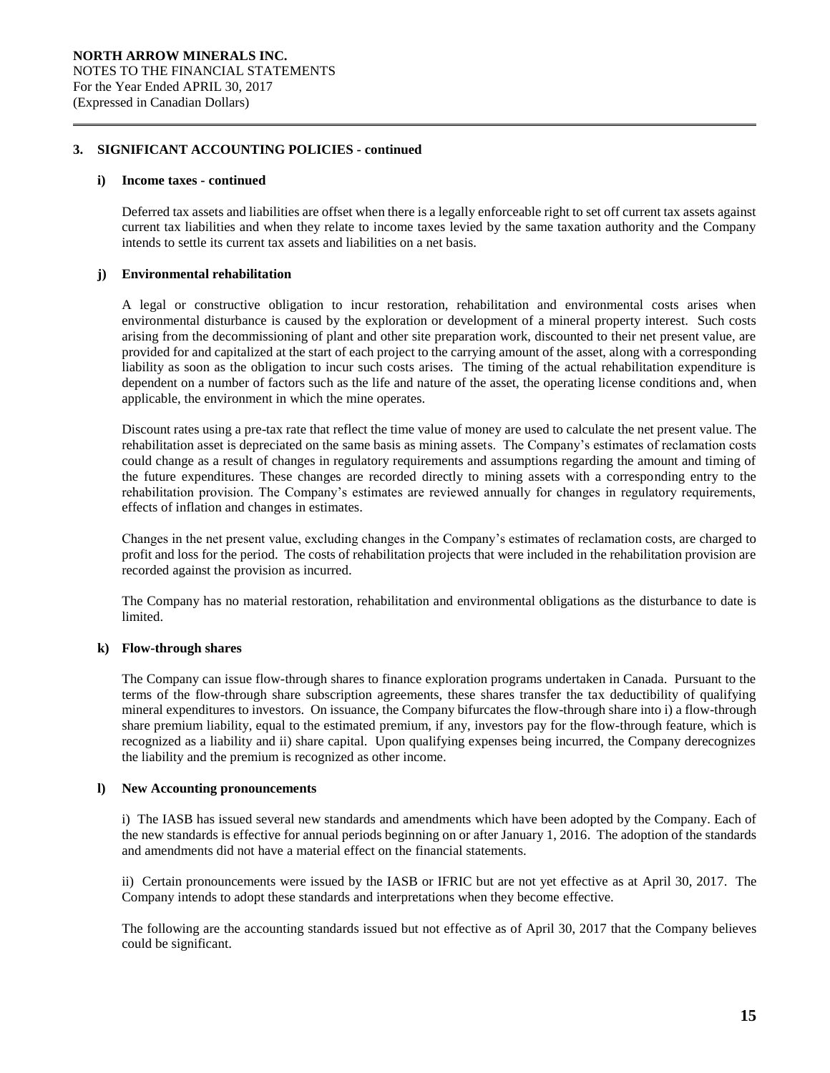#### **i) Income taxes - continued**

Deferred tax assets and liabilities are offset when there is a legally enforceable right to set off current tax assets against current tax liabilities and when they relate to income taxes levied by the same taxation authority and the Company intends to settle its current tax assets and liabilities on a net basis.

# **j) Environmental rehabilitation**

A legal or constructive obligation to incur restoration, rehabilitation and environmental costs arises when environmental disturbance is caused by the exploration or development of a mineral property interest. Such costs arising from the decommissioning of plant and other site preparation work, discounted to their net present value, are provided for and capitalized at the start of each project to the carrying amount of the asset, along with a corresponding liability as soon as the obligation to incur such costs arises. The timing of the actual rehabilitation expenditure is dependent on a number of factors such as the life and nature of the asset, the operating license conditions and, when applicable, the environment in which the mine operates.

Discount rates using a pre-tax rate that reflect the time value of money are used to calculate the net present value. The rehabilitation asset is depreciated on the same basis as mining assets. The Company's estimates of reclamation costs could change as a result of changes in regulatory requirements and assumptions regarding the amount and timing of the future expenditures. These changes are recorded directly to mining assets with a corresponding entry to the rehabilitation provision. The Company's estimates are reviewed annually for changes in regulatory requirements, effects of inflation and changes in estimates.

Changes in the net present value, excluding changes in the Company's estimates of reclamation costs, are charged to profit and loss for the period. The costs of rehabilitation projects that were included in the rehabilitation provision are recorded against the provision as incurred.

The Company has no material restoration, rehabilitation and environmental obligations as the disturbance to date is limited.

# **k) Flow-through shares**

The Company can issue flow-through shares to finance exploration programs undertaken in Canada. Pursuant to the terms of the flow-through share subscription agreements, these shares transfer the tax deductibility of qualifying mineral expenditures to investors. On issuance, the Company bifurcates the flow-through share into i) a flow-through share premium liability, equal to the estimated premium, if any, investors pay for the flow-through feature, which is recognized as a liability and ii) share capital. Upon qualifying expenses being incurred, the Company derecognizes the liability and the premium is recognized as other income.

## **l) New Accounting pronouncements**

i) The IASB has issued several new standards and amendments which have been adopted by the Company. Each of the new standards is effective for annual periods beginning on or after January 1, 2016. The adoption of the standards and amendments did not have a material effect on the financial statements.

ii) Certain pronouncements were issued by the IASB or IFRIC but are not yet effective as at April 30, 2017. The Company intends to adopt these standards and interpretations when they become effective.

The following are the accounting standards issued but not effective as of April 30, 2017 that the Company believes could be significant.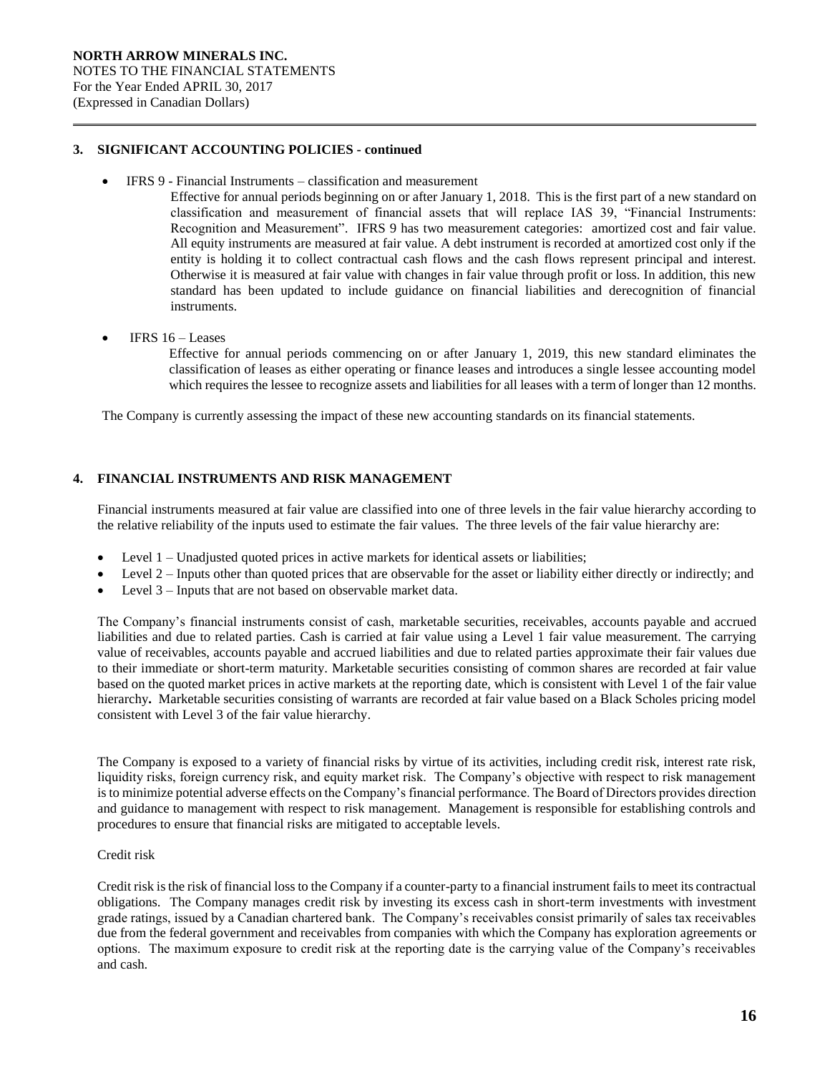- IFRS 9 Financial Instruments classification and measurement
	- Effective for annual periods beginning on or after January 1, 2018. This is the first part of a new standard on classification and measurement of financial assets that will replace IAS 39, "Financial Instruments: Recognition and Measurement". IFRS 9 has two measurement categories: amortized cost and fair value. All equity instruments are measured at fair value. A debt instrument is recorded at amortized cost only if the entity is holding it to collect contractual cash flows and the cash flows represent principal and interest. Otherwise it is measured at fair value with changes in fair value through profit or loss. In addition, this new standard has been updated to include guidance on financial liabilities and derecognition of financial instruments.
- IFRS 16 Leases

Effective for annual periods commencing on or after January 1, 2019, this new standard eliminates the classification of leases as either operating or finance leases and introduces a single lessee accounting model which requires the lessee to recognize assets and liabilities for all leases with a term of longer than 12 months.

The Company is currently assessing the impact of these new accounting standards on its financial statements.

# **4. FINANCIAL INSTRUMENTS AND RISK MANAGEMENT**

Financial instruments measured at fair value are classified into one of three levels in the fair value hierarchy according to the relative reliability of the inputs used to estimate the fair values. The three levels of the fair value hierarchy are:

- Level 1 Unadjusted quoted prices in active markets for identical assets or liabilities;
- Level 2 Inputs other than quoted prices that are observable for the asset or liability either directly or indirectly; and
- Level 3 Inputs that are not based on observable market data.

The Company's financial instruments consist of cash, marketable securities, receivables, accounts payable and accrued liabilities and due to related parties. Cash is carried at fair value using a Level 1 fair value measurement. The carrying value of receivables, accounts payable and accrued liabilities and due to related parties approximate their fair values due to their immediate or short-term maturity. Marketable securities consisting of common shares are recorded at fair value based on the quoted market prices in active markets at the reporting date, which is consistent with Level 1 of the fair value hierarchy**.** Marketable securities consisting of warrants are recorded at fair value based on a Black Scholes pricing model consistent with Level 3 of the fair value hierarchy.

The Company is exposed to a variety of financial risks by virtue of its activities, including credit risk, interest rate risk, liquidity risks, foreign currency risk, and equity market risk. The Company's objective with respect to risk management is to minimize potential adverse effects on the Company's financial performance. The Board of Directors provides direction and guidance to management with respect to risk management. Management is responsible for establishing controls and procedures to ensure that financial risks are mitigated to acceptable levels.

## Credit risk

Credit risk is the risk of financial loss to the Company if a counter-party to a financial instrument fails to meet its contractual obligations. The Company manages credit risk by investing its excess cash in short-term investments with investment grade ratings, issued by a Canadian chartered bank. The Company's receivables consist primarily of sales tax receivables due from the federal government and receivables from companies with which the Company has exploration agreements or options. The maximum exposure to credit risk at the reporting date is the carrying value of the Company's receivables and cash.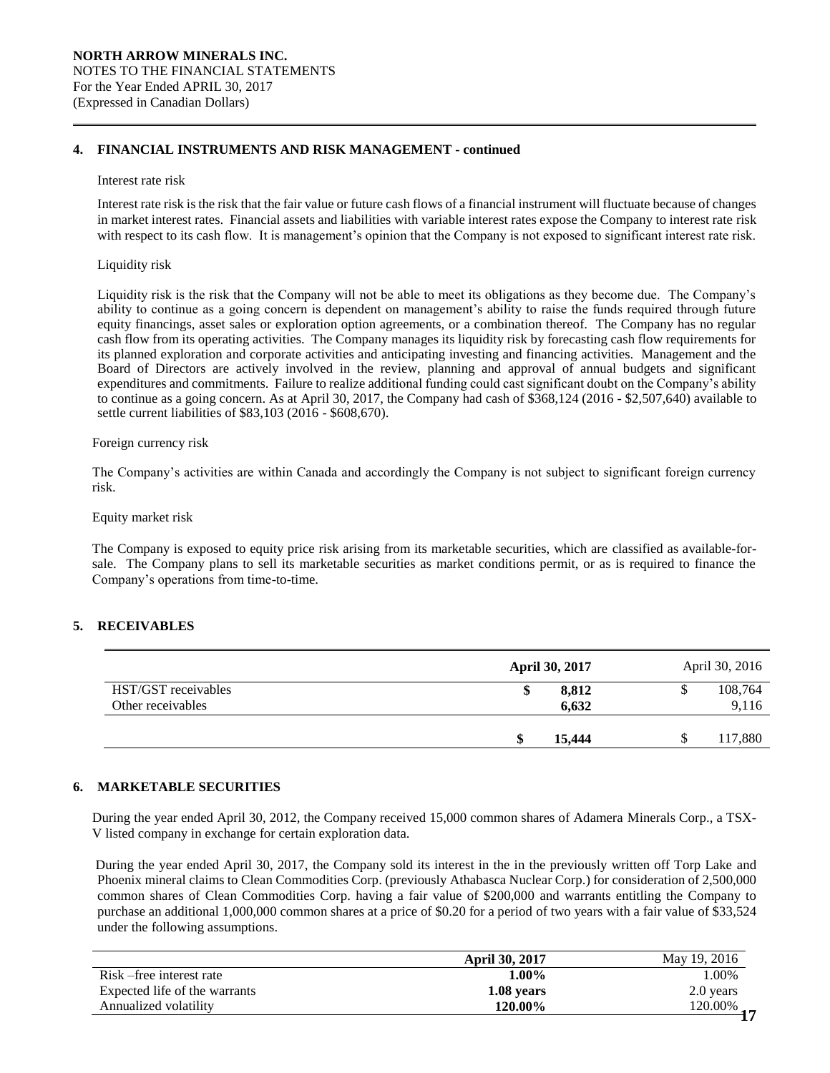# **4. FINANCIAL INSTRUMENTS AND RISK MANAGEMENT - continued**

#### Interest rate risk

Interest rate risk is the risk that the fair value or future cash flows of a financial instrument will fluctuate because of changes in market interest rates. Financial assets and liabilities with variable interest rates expose the Company to interest rate risk with respect to its cash flow. It is management's opinion that the Company is not exposed to significant interest rate risk.

# Liquidity risk

Liquidity risk is the risk that the Company will not be able to meet its obligations as they become due. The Company's ability to continue as a going concern is dependent on management's ability to raise the funds required through future equity financings, asset sales or exploration option agreements, or a combination thereof. The Company has no regular cash flow from its operating activities. The Company manages its liquidity risk by forecasting cash flow requirements for its planned exploration and corporate activities and anticipating investing and financing activities. Management and the Board of Directors are actively involved in the review, planning and approval of annual budgets and significant expenditures and commitments. Failure to realize additional funding could cast significant doubt on the Company's ability to continue as a going concern. As at April 30, 2017, the Company had cash of \$368,124 (2016 - \$2,507,640) available to settle current liabilities of \$83,103 (2016 - \$608,670).

## Foreign currency risk

The Company's activities are within Canada and accordingly the Company is not subject to significant foreign currency risk.

# Equity market risk

The Company is exposed to equity price risk arising from its marketable securities, which are classified as available-forsale. The Company plans to sell its marketable securities as market conditions permit, or as is required to finance the Company's operations from time-to-time.

# **5. RECEIVABLES**

|                                          | <b>April 30, 2017</b> | April 30, 2016        |
|------------------------------------------|-----------------------|-----------------------|
| HST/GST receivables<br>Other receivables | 8,812<br>\$<br>6.632  | 108,764<br>S<br>9,116 |
|                                          | 15,444                | 117,880               |

# **6. MARKETABLE SECURITIES**

During the year ended April 30, 2012, the Company received 15,000 common shares of Adamera Minerals Corp., a TSX-V listed company in exchange for certain exploration data.

During the year ended April 30, 2017, the Company sold its interest in the in the previously written off Torp Lake and Phoenix mineral claims to Clean Commodities Corp. (previously Athabasca Nuclear Corp.) for consideration of 2,500,000 common shares of Clean Commodities Corp. having a fair value of \$200,000 and warrants entitling the Company to purchase an additional 1,000,000 common shares at a price of \$0.20 for a period of two years with a fair value of \$33,524 under the following assumptions.

|                               | <b>April 30, 2017</b> | May 19, 2016 |
|-------------------------------|-----------------------|--------------|
| Risk – free interest rate     | 1.00%                 | 1.00%        |
| Expected life of the warrants | 1.08 years            | 2.0 years    |
| Annualized volatility         | 120.00%               | 120.00%      |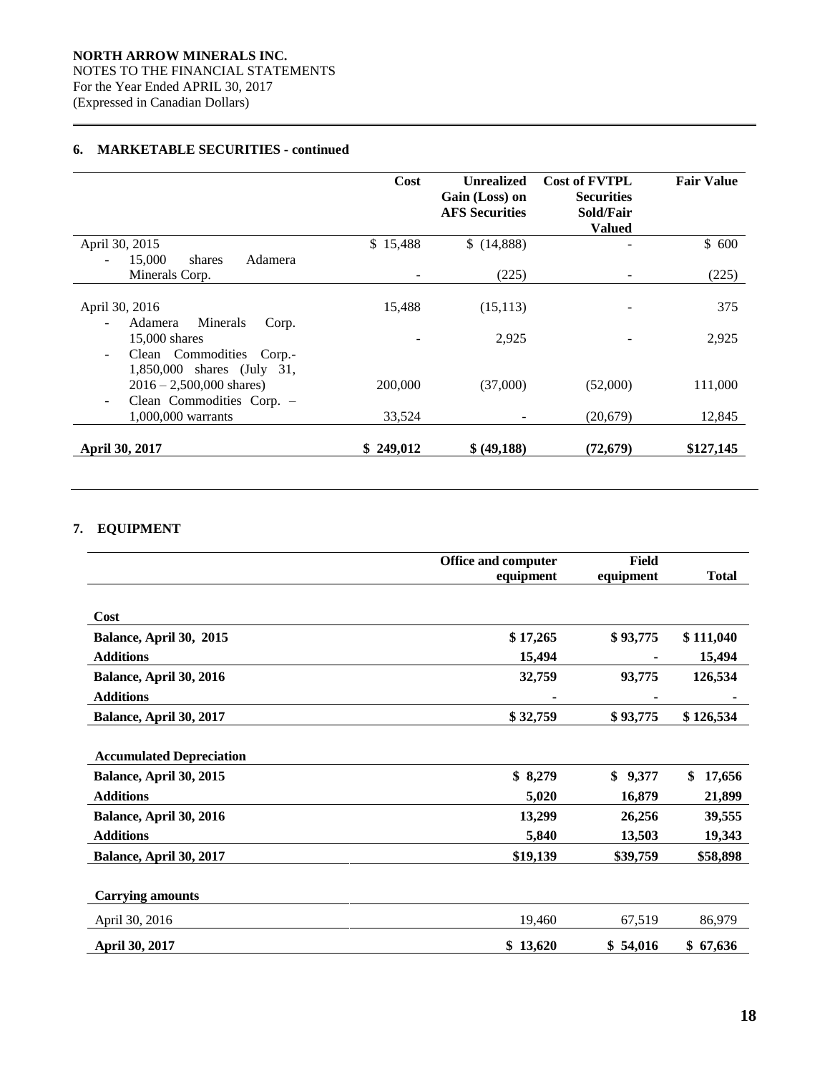# **6. MARKETABLE SECURITIES - continued**

|                                                                                                       | Cost      | <b>Unrealized</b><br>Gain (Loss) on<br><b>AFS Securities</b> | <b>Cost of FVTPL</b><br><b>Securities</b><br>Sold/Fair<br><b>Valued</b> | <b>Fair Value</b> |
|-------------------------------------------------------------------------------------------------------|-----------|--------------------------------------------------------------|-------------------------------------------------------------------------|-------------------|
| April 30, 2015                                                                                        | \$15,488  | \$(14,888)                                                   |                                                                         | \$600             |
| 15,000<br>Adamera<br>shares                                                                           |           |                                                              |                                                                         |                   |
| Minerals Corp.                                                                                        |           | (225)                                                        | $\overline{\phantom{0}}$                                                | (225)             |
| April 30, 2016<br>Minerals<br>Adamera<br>Corp.                                                        | 15,488    | (15, 113)                                                    |                                                                         | 375               |
| $15,000$ shares<br>Clean Commodities Corp.-<br>$\overline{\phantom{a}}$<br>1,850,000 shares (July 31, |           | 2,925                                                        |                                                                         | 2,925             |
| $2016 - 2,500,000$ shares)<br>Clean Commodities Corp. -<br>$\overline{\phantom{m}}$                   | 200,000   | (37,000)                                                     | (52,000)                                                                | 111,000           |
| 1,000,000 warrants                                                                                    | 33,524    |                                                              | (20,679)                                                                | 12,845            |
| April 30, 2017                                                                                        | \$249,012 | \$ (49,188)                                                  | (72, 679)                                                               | \$127,145         |

# **7. EQUIPMENT**

|                                 | <b>Office and computer</b> | <b>Field</b> |              |  |
|---------------------------------|----------------------------|--------------|--------------|--|
|                                 | equipment                  | equipment    | <b>Total</b> |  |
|                                 |                            |              |              |  |
| Cost                            |                            |              |              |  |
| Balance, April 30, 2015         | \$17,265                   | \$93,775     | \$111,040    |  |
| <b>Additions</b>                | 15,494                     |              | 15,494       |  |
| Balance, April 30, 2016         | 32,759                     | 93,775       | 126,534      |  |
| <b>Additions</b>                |                            |              |              |  |
| Balance, April 30, 2017         | \$32,759                   | \$93,775     | \$126,534    |  |
|                                 |                            |              |              |  |
| <b>Accumulated Depreciation</b> |                            |              |              |  |
| Balance, April 30, 2015         | \$8,279                    | \$<br>9,377  | \$<br>17,656 |  |
| <b>Additions</b>                | 5,020                      | 16,879       | 21,899       |  |
| Balance, April 30, 2016         | 13,299                     | 26,256       | 39,555       |  |
| <b>Additions</b>                | 5,840                      | 13,503       | 19,343       |  |
| Balance, April 30, 2017         | \$19,139                   | \$39,759     | \$58,898     |  |
|                                 |                            |              |              |  |
| <b>Carrying amounts</b>         |                            |              |              |  |
| April 30, 2016                  | 19,460                     | 67,519       | 86,979       |  |
| April 30, 2017                  | \$13,620                   | \$54,016     | \$67,636     |  |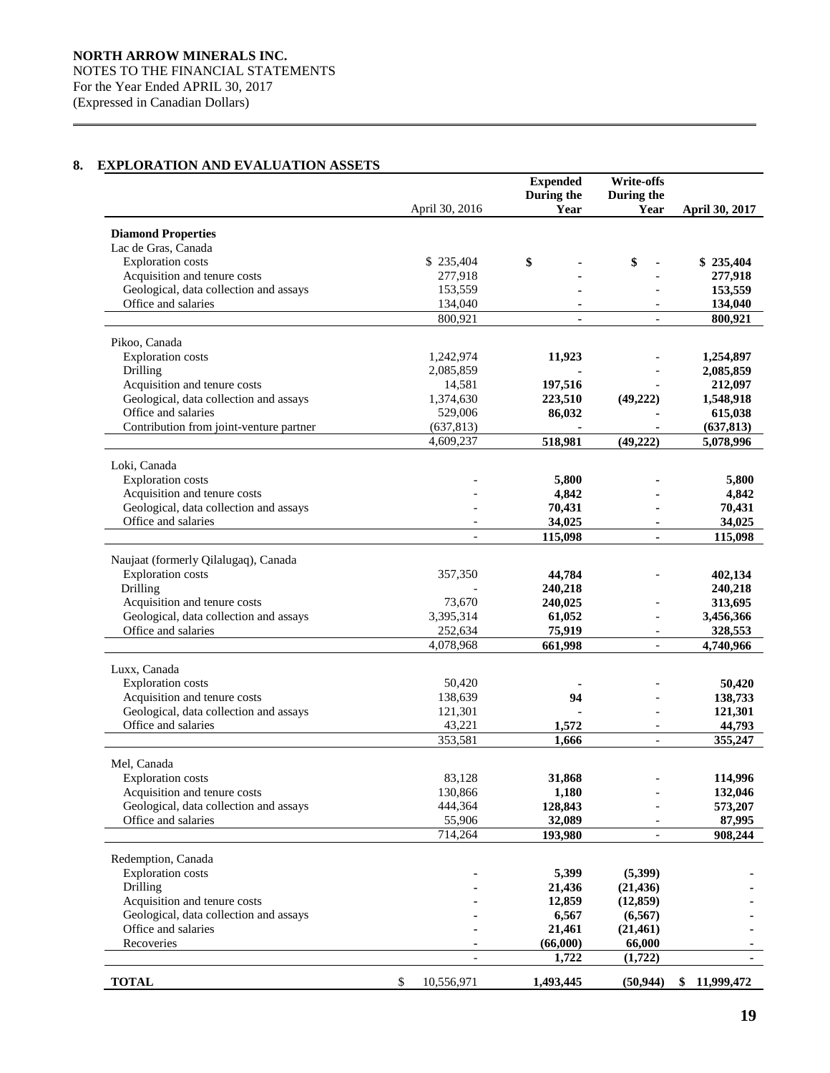# **8. EXPLORATION AND EVALUATION ASSETS**

|                                                  |                          | <b>Expended</b> | <b>Write-offs</b>        |                |
|--------------------------------------------------|--------------------------|-----------------|--------------------------|----------------|
|                                                  |                          | During the      | During the               |                |
|                                                  | April 30, 2016           | Year            | Year                     | April 30, 2017 |
|                                                  |                          |                 |                          |                |
| <b>Diamond Properties</b><br>Lac de Gras, Canada |                          |                 |                          |                |
| <b>Exploration</b> costs                         | \$235,404                | \$              | \$                       | \$235,404      |
| Acquisition and tenure costs                     | 277,918                  |                 |                          | 277,918        |
| Geological, data collection and assays           | 153,559                  |                 |                          | 153,559        |
| Office and salaries                              | 134,040                  |                 |                          | 134,040        |
|                                                  | 800,921                  |                 |                          | 800,921        |
|                                                  |                          |                 |                          |                |
| Pikoo, Canada                                    |                          |                 |                          |                |
| <b>Exploration</b> costs                         | 1,242,974                | 11,923          |                          | 1,254,897      |
| Drilling                                         | 2,085,859                |                 |                          | 2,085,859      |
| Acquisition and tenure costs                     | 14,581                   | 197,516         |                          | 212,097        |
| Geological, data collection and assays           | 1,374,630                | 223,510         | (49, 222)                | 1,548,918      |
| Office and salaries                              | 529,006                  | 86,032          |                          | 615,038        |
| Contribution from joint-venture partner          | (637, 813)               |                 |                          | (637, 813)     |
|                                                  | 4,609,237                | 518,981         | (49, 222)                | 5,078,996      |
|                                                  |                          |                 |                          |                |
| Loki, Canada                                     |                          |                 |                          |                |
| <b>Exploration</b> costs                         |                          | 5,800           |                          | 5,800          |
| Acquisition and tenure costs                     |                          | 4,842           |                          | 4,842          |
| Geological, data collection and assays           |                          | 70,431          |                          | 70,431         |
| Office and salaries                              |                          | 34,025          |                          | 34,025         |
|                                                  | $\overline{\phantom{a}}$ | 115,098         | $\mathbf{r}$             | 115,098        |
| Naujaat (formerly Qilalugaq), Canada             |                          |                 |                          |                |
| <b>Exploration</b> costs                         | 357,350                  | 44,784          |                          | 402,134        |
| Drilling                                         |                          | 240,218         |                          | 240,218        |
| Acquisition and tenure costs                     | 73,670                   | 240,025         |                          | 313,695        |
| Geological, data collection and assays           | 3,395,314                | 61,052          | $\overline{\phantom{a}}$ | 3,456,366      |
| Office and salaries                              | 252,634                  | 75,919          | $\overline{\phantom{a}}$ | 328,553        |
|                                                  | 4,078,968                | 661,998         | $\overline{\phantom{a}}$ | 4,740,966      |
|                                                  |                          |                 |                          |                |
| Luxx, Canada                                     |                          |                 |                          |                |
| <b>Exploration</b> costs                         | 50,420                   |                 |                          | 50,420         |
| Acquisition and tenure costs                     | 138,639                  | 94              |                          | 138,733        |
| Geological, data collection and assays           | 121,301                  |                 |                          | 121,301        |
| Office and salaries                              | 43,221                   | 1,572           | $\overline{\phantom{a}}$ | 44,793         |
|                                                  | 353,581                  | 1,666           | $\overline{a}$           | 355,247        |
|                                                  |                          |                 |                          |                |
| Mel, Canada                                      |                          |                 |                          |                |
| <b>Exploration</b> costs                         | 83,128                   | 31,868          |                          | 114,996        |
| Acquisition and tenure costs                     | 130,866                  | 1,180           |                          | 132,046        |
| Geological, data collection and assays           | 444,364                  | 128,843         |                          | 573,207        |
| Office and salaries                              | 55,906                   | 32,089          |                          | 87,995         |
|                                                  | 714,264                  | 193,980         |                          | 908,244        |
| Redemption, Canada                               |                          |                 |                          |                |
| <b>Exploration</b> costs                         |                          | 5,399           | (5,399)                  |                |
| Drilling                                         |                          | 21,436          | (21, 436)                |                |
| Acquisition and tenure costs                     |                          | 12,859          | (12, 859)                |                |
| Geological, data collection and assays           |                          | 6,567           | (6, 567)                 |                |
| Office and salaries                              |                          | 21,461          | (21,461)                 |                |
| Recoveries                                       |                          | (66,000)        | 66,000                   |                |
|                                                  |                          | 1,722           | (1,722)                  |                |
|                                                  |                          |                 |                          |                |
| <b>TOTAL</b>                                     | \$<br>10,556,971         | 1,493,445       | (50, 944)                | \$11,999,472   |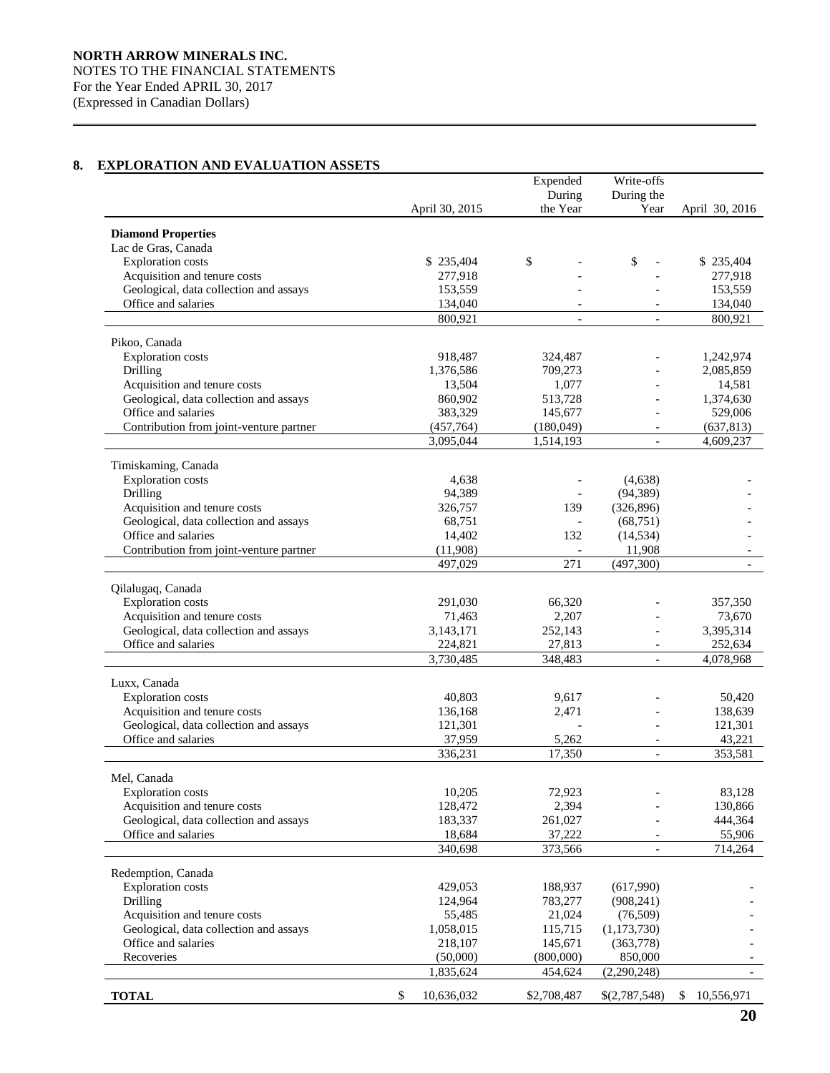# **8. EXPLORATION AND EVALUATION ASSETS**

|                                         |                  | Expended           | Write-offs               |                  |
|-----------------------------------------|------------------|--------------------|--------------------------|------------------|
|                                         |                  | During             | During the               |                  |
|                                         | April 30, 2015   | the Year           | Year                     | April 30, 2016   |
|                                         |                  |                    |                          |                  |
| <b>Diamond Properties</b>               |                  |                    |                          |                  |
| Lac de Gras, Canada                     |                  |                    |                          |                  |
| <b>Exploration</b> costs                | \$235,404        | \$                 | \$                       | \$235,404        |
| Acquisition and tenure costs            | 277,918          |                    |                          | 277,918          |
| Geological, data collection and assays  | 153,559          |                    |                          | 153,559          |
| Office and salaries                     | 134,040          |                    |                          | 134,040          |
|                                         | 800,921          |                    |                          | 800,921          |
| Pikoo, Canada                           |                  |                    |                          |                  |
| <b>Exploration</b> costs                | 918,487          | 324,487            |                          | 1,242,974        |
| Drilling                                | 1,376,586        | 709,273            |                          | 2,085,859        |
| Acquisition and tenure costs            | 13,504           | 1,077              |                          | 14,581           |
| Geological, data collection and assays  |                  |                    |                          | 1,374,630        |
| Office and salaries                     | 860,902          | 513,728<br>145,677 | $\overline{a}$           |                  |
|                                         | 383,329          |                    | $\overline{a}$           | 529,006          |
| Contribution from joint-venture partner | (457, 764)       | (180,049)          |                          | (637, 813)       |
|                                         | 3,095,044        | 1,514,193          |                          | 4,609,237        |
| Timiskaming, Canada                     |                  |                    |                          |                  |
| <b>Exploration costs</b>                | 4,638            |                    | (4,638)                  |                  |
| Drilling                                | 94,389           |                    | (94, 389)                |                  |
| Acquisition and tenure costs            | 326,757          | 139                | (326, 896)               |                  |
| Geological, data collection and assays  | 68,751           |                    | (68,751)                 |                  |
| Office and salaries                     | 14,402           | 132                | (14, 534)                |                  |
| Contribution from joint-venture partner | (11,908)         |                    |                          |                  |
|                                         | 497,029          | 271                | 11,908                   |                  |
|                                         |                  |                    | (497, 300)               |                  |
| Qilalugaq, Canada                       |                  |                    |                          |                  |
| <b>Exploration</b> costs                | 291,030          | 66,320             |                          | 357,350          |
| Acquisition and tenure costs            | 71,463           | 2,207              |                          | 73,670           |
| Geological, data collection and assays  | 3,143,171        | 252,143            |                          | 3,395,314        |
| Office and salaries                     | 224,821          | 27,813             | $\overline{\phantom{a}}$ | 252,634          |
|                                         | 3,730,485        | 348,483            | $\overline{a}$           | 4,078,968        |
|                                         |                  |                    |                          |                  |
| Luxx, Canada                            |                  |                    |                          |                  |
| <b>Exploration costs</b>                | 40,803           | 9,617              |                          | 50,420           |
| Acquisition and tenure costs            | 136,168          | 2,471              |                          | 138,639          |
| Geological, data collection and assays  | 121,301          |                    |                          | 121,301          |
| Office and salaries                     | 37,959           | 5,262              | $\overline{\phantom{a}}$ | 43,221           |
|                                         | 336,231          | 17,350             | $\overline{\phantom{a}}$ | 353,581          |
|                                         |                  |                    |                          |                  |
| Mel, Canada                             |                  |                    |                          |                  |
| <b>Exploration</b> costs                | 10,205           | 72,923             |                          | 83,128           |
| Acquisition and tenure costs            | 128,472          | 2,394              |                          | 130,866          |
| Geological, data collection and assays  | 183,337          | 261,027            |                          | 444,364          |
| Office and salaries                     | 18,684           | 37,222             |                          | 55,906           |
|                                         | 340,698          | 373,566            | $\overline{\phantom{a}}$ | 714,264          |
|                                         |                  |                    |                          |                  |
| Redemption, Canada                      |                  |                    |                          |                  |
| <b>Exploration</b> costs                | 429,053          | 188,937            | (617,990)                |                  |
| Drilling                                | 124,964          | 783,277            | (908, 241)               |                  |
| Acquisition and tenure costs            | 55,485           | 21,024             | (76,509)                 |                  |
| Geological, data collection and assays  | 1,058,015        | 115,715            | (1,173,730)              |                  |
| Office and salaries                     | 218,107          | 145,671            | (363,778)                |                  |
| Recoveries                              | (50,000)         | (800,000)          | 850,000                  |                  |
|                                         | 1,835,624        | 454,624            | (2,290,248)              |                  |
| <b>TOTAL</b>                            | \$<br>10,636,032 | \$2,708,487        | \$(2,787,548)            | \$<br>10,556,971 |
|                                         |                  |                    |                          |                  |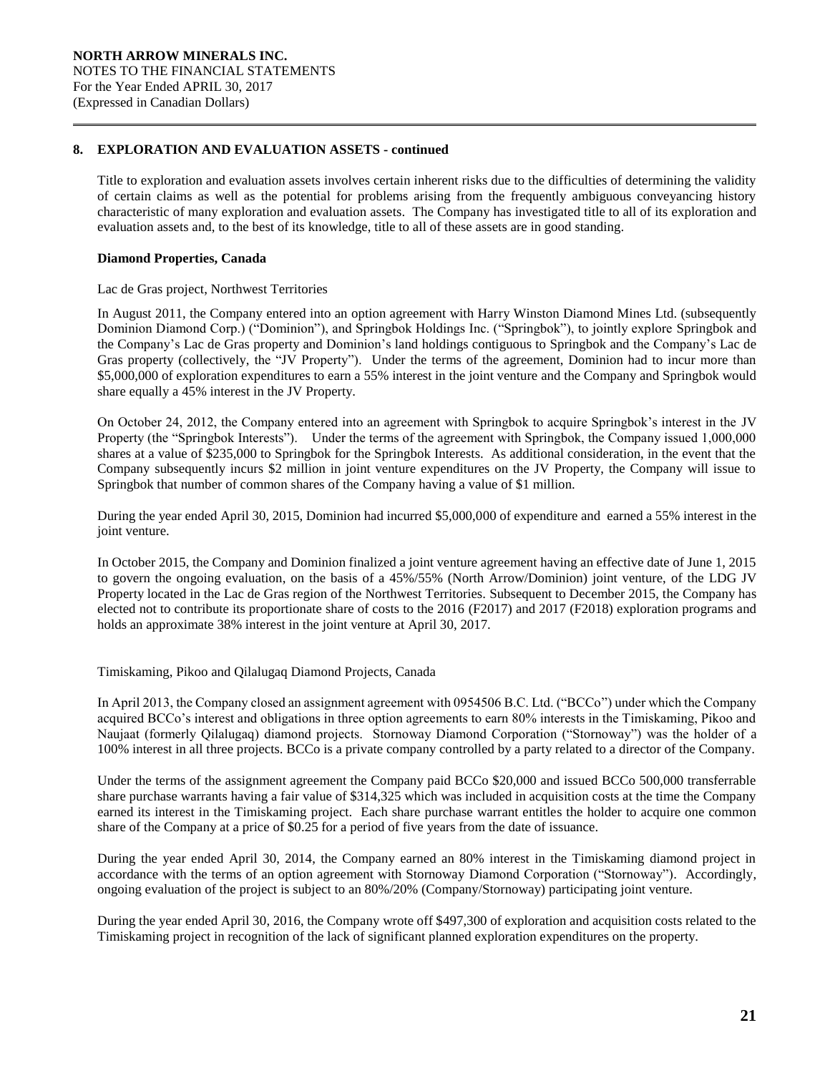# **8. EXPLORATION AND EVALUATION ASSETS - continued**

Title to exploration and evaluation assets involves certain inherent risks due to the difficulties of determining the validity of certain claims as well as the potential for problems arising from the frequently ambiguous conveyancing history characteristic of many exploration and evaluation assets. The Company has investigated title to all of its exploration and evaluation assets and, to the best of its knowledge, title to all of these assets are in good standing.

# **Diamond Properties, Canada**

## Lac de Gras project, Northwest Territories

In August 2011, the Company entered into an option agreement with Harry Winston Diamond Mines Ltd. (subsequently Dominion Diamond Corp.) ("Dominion"), and Springbok Holdings Inc. ("Springbok"), to jointly explore Springbok and the Company's Lac de Gras property and Dominion's land holdings contiguous to Springbok and the Company's Lac de Gras property (collectively, the "JV Property"). Under the terms of the agreement, Dominion had to incur more than \$5,000,000 of exploration expenditures to earn a 55% interest in the joint venture and the Company and Springbok would share equally a 45% interest in the JV Property.

On October 24, 2012, the Company entered into an agreement with Springbok to acquire Springbok's interest in the JV Property (the "Springbok Interests"). Under the terms of the agreement with Springbok, the Company issued 1,000,000 shares at a value of \$235,000 to Springbok for the Springbok Interests. As additional consideration, in the event that the Company subsequently incurs \$2 million in joint venture expenditures on the JV Property, the Company will issue to Springbok that number of common shares of the Company having a value of \$1 million.

During the year ended April 30, 2015, Dominion had incurred \$5,000,000 of expenditure and earned a 55% interest in the joint venture.

In October 2015, the Company and Dominion finalized a joint venture agreement having an effective date of June 1, 2015 to govern the ongoing evaluation, on the basis of a 45%/55% (North Arrow/Dominion) joint venture, of the LDG JV Property located in the Lac de Gras region of the Northwest Territories. Subsequent to December 2015, the Company has elected not to contribute its proportionate share of costs to the 2016 (F2017) and 2017 (F2018) exploration programs and holds an approximate 38% interest in the joint venture at April 30, 2017.

Timiskaming, Pikoo and Qilalugaq Diamond Projects, Canada

In April 2013, the Company closed an assignment agreement with 0954506 B.C. Ltd. ("BCCo") under which the Company acquired BCCo's interest and obligations in three option agreements to earn 80% interests in the Timiskaming, Pikoo and Naujaat (formerly Qilalugaq) diamond projects. Stornoway Diamond Corporation ("Stornoway") was the holder of a 100% interest in all three projects. BCCo is a private company controlled by a party related to a director of the Company.

Under the terms of the assignment agreement the Company paid BCCo \$20,000 and issued BCCo 500,000 transferrable share purchase warrants having a fair value of \$314,325 which was included in acquisition costs at the time the Company earned its interest in the Timiskaming project. Each share purchase warrant entitles the holder to acquire one common share of the Company at a price of \$0.25 for a period of five years from the date of issuance.

During the year ended April 30, 2014, the Company earned an 80% interest in the Timiskaming diamond project in accordance with the terms of an option agreement with Stornoway Diamond Corporation ("Stornoway"). Accordingly, ongoing evaluation of the project is subject to an 80%/20% (Company/Stornoway) participating joint venture.

During the year ended April 30, 2016, the Company wrote off \$497,300 of exploration and acquisition costs related to the Timiskaming project in recognition of the lack of significant planned exploration expenditures on the property.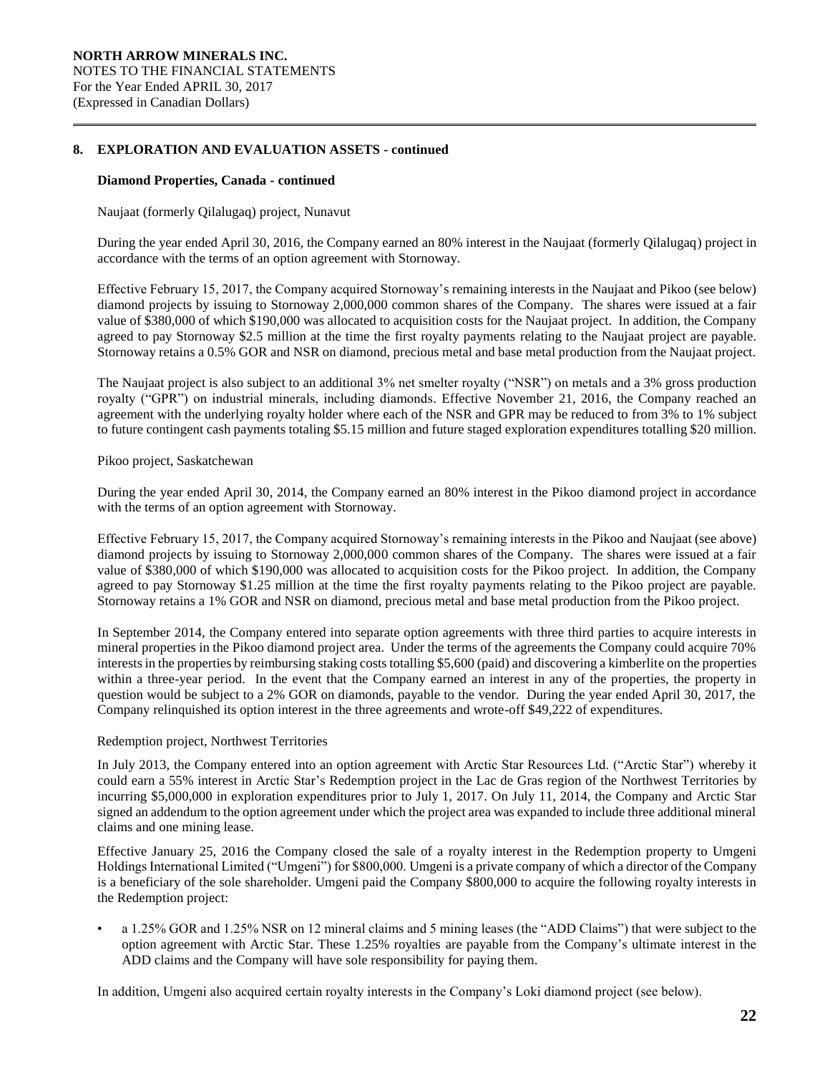# **8. EXPLORATION AND EVALUATION ASSETS - continued**

#### **Diamond Properties, Canada - continued**

Naujaat (formerly Qilalugaq) project, Nunavut

During the year ended April 30, 2016, the Company earned an 80% interest in the Naujaat (formerly Qilalugaq) project in accordance with the terms of an option agreement with Stornoway.

Effective February 15, 2017, the Company acquired Stornoway's remaining interests in the Naujaat and Pikoo (see below) diamond projects by issuing to Stornoway 2,000,000 common shares of the Company. The shares were issued at a fair value of \$380,000 of which \$190,000 was allocated to acquisition costs for the Naujaat project. In addition, the Company agreed to pay Stornoway \$2.5 million at the time the first royalty payments relating to the Naujaat project are payable. Stornoway retains a 0.5% GOR and NSR on diamond, precious metal and base metal production from the Naujaat project.

The Naujaat project is also subject to an additional 3% net smelter royalty ("NSR") on metals and a 3% gross production royalty ("GPR") on industrial minerals, including diamonds. Effective November 21, 2016, the Company reached an agreement with the underlying royalty holder where each of the NSR and GPR may be reduced to from 3% to 1% subject to future contingent cash payments totaling \$5.15 million and future staged exploration expenditures totalling \$20 million.

# Pikoo project, Saskatchewan

During the year ended April 30, 2014, the Company earned an 80% interest in the Pikoo diamond project in accordance with the terms of an option agreement with Stornoway.

Effective February 15, 2017, the Company acquired Stornoway's remaining interests in the Pikoo and Naujaat (see above) diamond projects by issuing to Stornoway 2,000,000 common shares of the Company. The shares were issued at a fair value of \$380,000 of which \$190,000 was allocated to acquisition costs for the Pikoo project. In addition, the Company agreed to pay Stornoway \$1.25 million at the time the first royalty payments relating to the Pikoo project are payable. Stornoway retains a 1% GOR and NSR on diamond, precious metal and base metal production from the Pikoo project.

In September 2014, the Company entered into separate option agreements with three third parties to acquire interests in mineral properties in the Pikoo diamond project area. Under the terms of the agreements the Company could acquire 70% interests in the properties by reimbursing staking costs totalling \$5,600 (paid) and discovering a kimberlite on the properties within a three-year period. In the event that the Company earned an interest in any of the properties, the property in question would be subject to a 2% GOR on diamonds, payable to the vendor. During the year ended April 30, 2017, the Company relinquished its option interest in the three agreements and wrote-off \$49,222 of expenditures.

## Redemption project, Northwest Territories

In July 2013, the Company entered into an option agreement with Arctic Star Resources Ltd. ("Arctic Star") whereby it could earn a 55% interest in Arctic Star's Redemption project in the Lac de Gras region of the Northwest Territories by incurring \$5,000,000 in exploration expenditures prior to July 1, 2017. On July 11, 2014, the Company and Arctic Star signed an addendum to the option agreement under which the project area was expanded to include three additional mineral claims and one mining lease.

Effective January 25, 2016 the Company closed the sale of a royalty interest in the Redemption property to Umgeni Holdings International Limited ("Umgeni") for \$800,000. Umgeni is a private company of which a director of the Company is a beneficiary of the sole shareholder. Umgeni paid the Company \$800,000 to acquire the following royalty interests in the Redemption project:

• a 1.25% GOR and 1.25% NSR on 12 mineral claims and 5 mining leases (the "ADD Claims") that were subject to the option agreement with Arctic Star. These 1.25% royalties are payable from the Company's ultimate interest in the ADD claims and the Company will have sole responsibility for paying them.

In addition, Umgeni also acquired certain royalty interests in the Company's Loki diamond project (see below).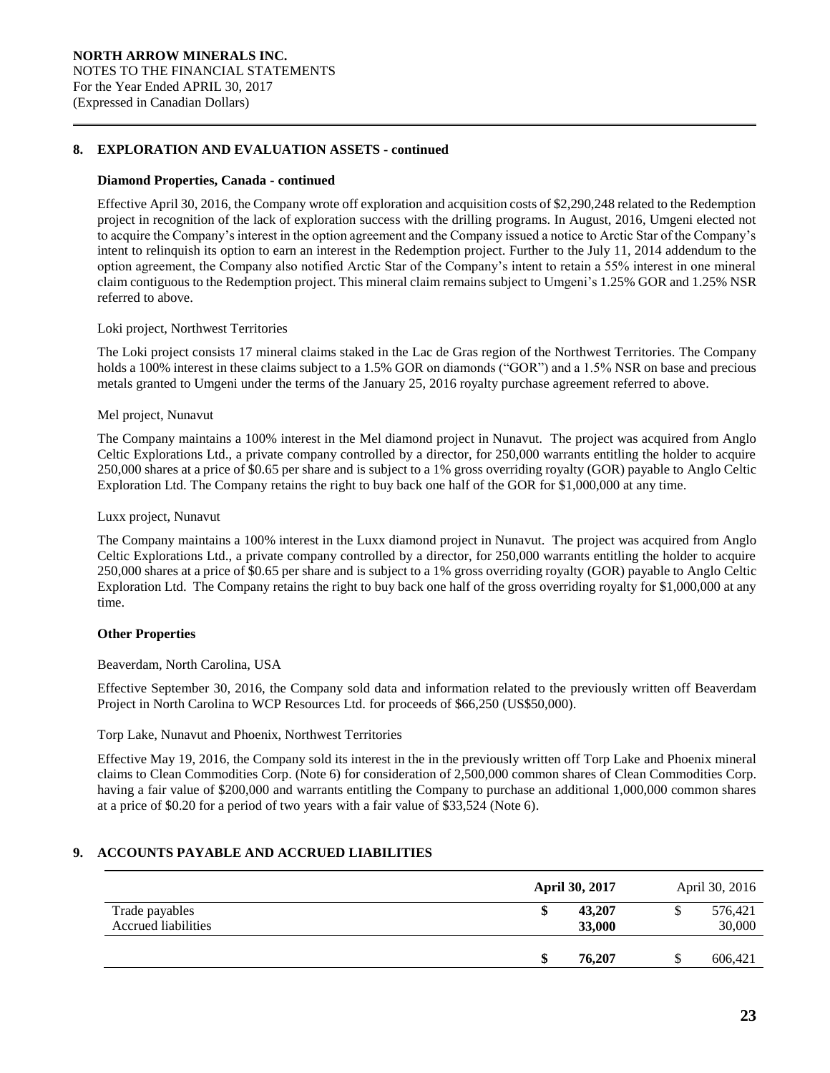# **8. EXPLORATION AND EVALUATION ASSETS - continued**

#### **Diamond Properties, Canada - continued**

Effective April 30, 2016, the Company wrote off exploration and acquisition costs of \$2,290,248 related to the Redemption project in recognition of the lack of exploration success with the drilling programs. In August, 2016, Umgeni elected not to acquire the Company's interest in the option agreement and the Company issued a notice to Arctic Star of the Company's intent to relinquish its option to earn an interest in the Redemption project. Further to the July 11, 2014 addendum to the option agreement, the Company also notified Arctic Star of the Company's intent to retain a 55% interest in one mineral claim contiguous to the Redemption project. This mineral claim remains subject to Umgeni's 1.25% GOR and 1.25% NSR referred to above.

## Loki project, Northwest Territories

The Loki project consists 17 mineral claims staked in the Lac de Gras region of the Northwest Territories. The Company holds a 100% interest in these claims subject to a 1.5% GOR on diamonds ("GOR") and a 1.5% NSR on base and precious metals granted to Umgeni under the terms of the January 25, 2016 royalty purchase agreement referred to above.

#### Mel project, Nunavut

The Company maintains a 100% interest in the Mel diamond project in Nunavut. The project was acquired from Anglo Celtic Explorations Ltd., a private company controlled by a director, for 250,000 warrants entitling the holder to acquire 250,000 shares at a price of \$0.65 per share and is subject to a 1% gross overriding royalty (GOR) payable to Anglo Celtic Exploration Ltd. The Company retains the right to buy back one half of the GOR for \$1,000,000 at any time.

#### Luxx project, Nunavut

The Company maintains a 100% interest in the Luxx diamond project in Nunavut. The project was acquired from Anglo Celtic Explorations Ltd., a private company controlled by a director, for 250,000 warrants entitling the holder to acquire 250,000 shares at a price of \$0.65 per share and is subject to a 1% gross overriding royalty (GOR) payable to Anglo Celtic Exploration Ltd. The Company retains the right to buy back one half of the gross overriding royalty for \$1,000,000 at any time.

## **Other Properties**

## Beaverdam, North Carolina, USA

Effective September 30, 2016, the Company sold data and information related to the previously written off Beaverdam Project in North Carolina to WCP Resources Ltd. for proceeds of \$66,250 (US\$50,000).

#### Torp Lake, Nunavut and Phoenix, Northwest Territories

Effective May 19, 2016, the Company sold its interest in the in the previously written off Torp Lake and Phoenix mineral claims to Clean Commodities Corp. (Note 6) for consideration of 2,500,000 common shares of Clean Commodities Corp. having a fair value of \$200,000 and warrants entitling the Company to purchase an additional 1,000,000 common shares at a price of \$0.20 for a period of two years with a fair value of \$33,524 (Note 6).

# **9. ACCOUNTS PAYABLE AND ACCRUED LIABILITIES**

|                                              | <b>April 30, 2017</b>  | April 30, 2016    |
|----------------------------------------------|------------------------|-------------------|
| Trade payables<br><b>Accrued liabilities</b> | 43,207<br>\$<br>33,000 | 576,421<br>30,000 |
|                                              | 76,207<br>\$           | 606,421           |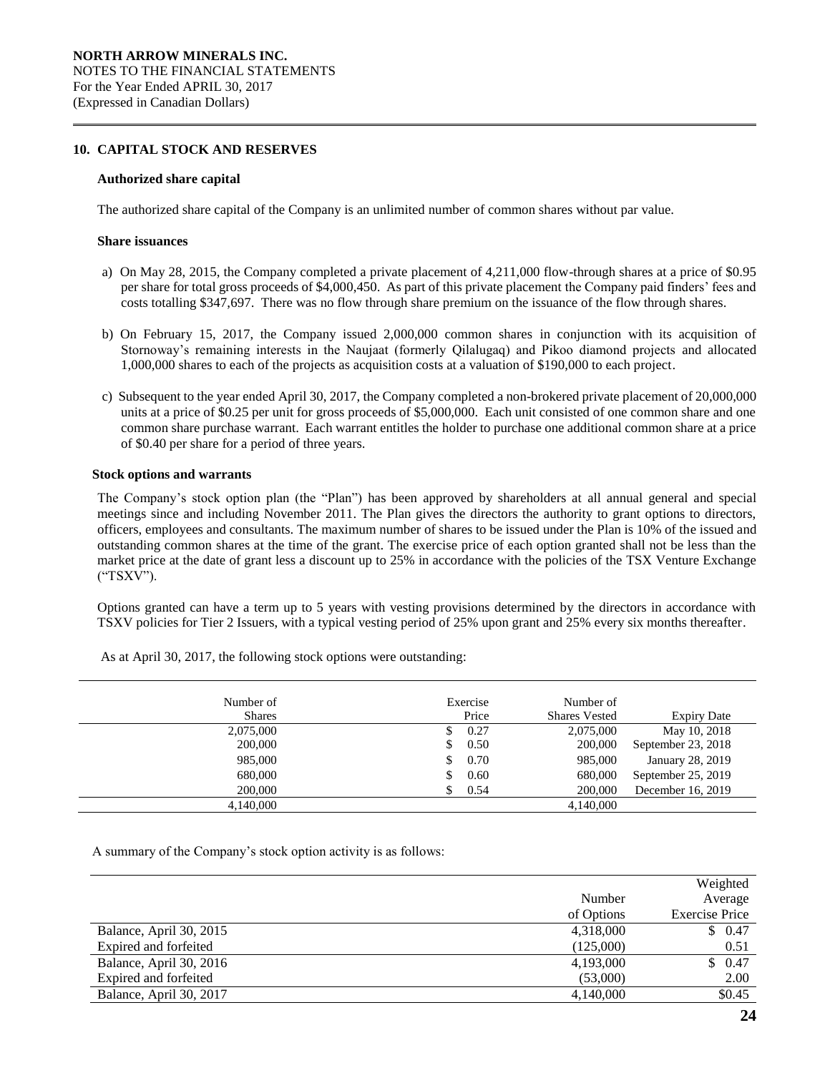# **10. CAPITAL STOCK AND RESERVES**

#### **Authorized share capital**

The authorized share capital of the Company is an unlimited number of common shares without par value.

#### **Share issuances**

- a) On May 28, 2015, the Company completed a private placement of 4,211,000 flow-through shares at a price of \$0.95 per share for total gross proceeds of \$4,000,450. As part of this private placement the Company paid finders' fees and costs totalling \$347,697. There was no flow through share premium on the issuance of the flow through shares.
- b) On February 15, 2017, the Company issued 2,000,000 common shares in conjunction with its acquisition of Stornoway's remaining interests in the Naujaat (formerly Qilalugaq) and Pikoo diamond projects and allocated 1,000,000 shares to each of the projects as acquisition costs at a valuation of \$190,000 to each project.
- c) Subsequent to the year ended April 30, 2017, the Company completed a non-brokered private placement of 20,000,000 units at a price of \$0.25 per unit for gross proceeds of \$5,000,000. Each unit consisted of one common share and one common share purchase warrant. Each warrant entitles the holder to purchase one additional common share at a price of \$0.40 per share for a period of three years.

#### **Stock options and warrants**

The Company's stock option plan (the "Plan") has been approved by shareholders at all annual general and special meetings since and including November 2011. The Plan gives the directors the authority to grant options to directors, officers, employees and consultants. The maximum number of shares to be issued under the Plan is 10% of the issued and outstanding common shares at the time of the grant. The exercise price of each option granted shall not be less than the market price at the date of grant less a discount up to 25% in accordance with the policies of the TSX Venture Exchange ("TSXV").

Options granted can have a term up to 5 years with vesting provisions determined by the directors in accordance with TSXV policies for Tier 2 Issuers, with a typical vesting period of 25% upon grant and 25% every six months thereafter.

| Exercise | Number of            |                    |
|----------|----------------------|--------------------|
| Price    | <b>Shares Vested</b> | <b>Expiry Date</b> |
| 0.27     | 2,075,000            | May 10, 2018       |
| 0.50     | 200,000              | September 23, 2018 |
| 0.70     | 985,000              | January 28, 2019   |
| 0.60     | 680,000              | September 25, 2019 |
| 0.54     | 200,000              | December 16, 2019  |
|          | 4,140,000            |                    |
|          |                      |                    |

As at April 30, 2017, the following stock options were outstanding:

A summary of the Company's stock option activity is as follows:

|                         |            | Weighted              |
|-------------------------|------------|-----------------------|
|                         | Number     | Average               |
|                         | of Options | <b>Exercise Price</b> |
| Balance, April 30, 2015 | 4,318,000  | \$0.47                |
| Expired and forfeited   | (125,000)  | 0.51                  |
| Balance, April 30, 2016 | 4,193,000  | \$0.47                |
| Expired and forfeited   | (53,000)   | 2.00                  |
| Balance, April 30, 2017 | 4,140,000  | \$0.45                |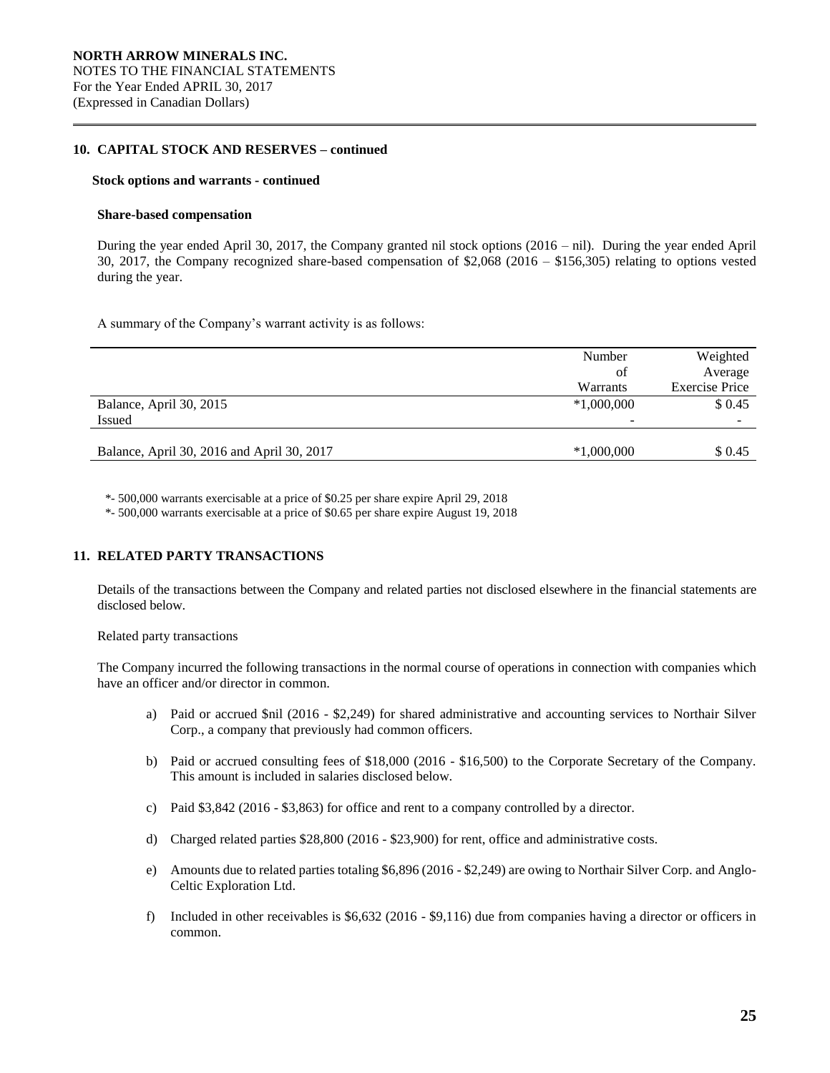# **10. CAPITAL STOCK AND RESERVES – continued**

#### **Stock options and warrants - continued**

#### **Share-based compensation**

During the year ended April 30, 2017, the Company granted nil stock options (2016 – nil). During the year ended April 30, 2017, the Company recognized share-based compensation of \$2,068 (2016 – \$156,305) relating to options vested during the year.

A summary of the Company's warrant activity is as follows:

|                                            | Number       | Weighted              |
|--------------------------------------------|--------------|-----------------------|
|                                            | of           | Average               |
|                                            | Warrants     | <b>Exercise Price</b> |
| Balance, April 30, 2015                    | $*1,000,000$ | \$0.45                |
| Issued                                     | -            |                       |
|                                            |              |                       |
| Balance, April 30, 2016 and April 30, 2017 | $*1,000,000$ | \$ 0.45               |
|                                            |              |                       |

\*- 500,000 warrants exercisable at a price of \$0.25 per share expire April 29, 2018

\*- 500,000 warrants exercisable at a price of \$0.65 per share expire August 19, 2018

# **11. RELATED PARTY TRANSACTIONS**

Details of the transactions between the Company and related parties not disclosed elsewhere in the financial statements are disclosed below.

Related party transactions

The Company incurred the following transactions in the normal course of operations in connection with companies which have an officer and/or director in common.

- a) Paid or accrued \$nil (2016 \$2,249) for shared administrative and accounting services to Northair Silver Corp., a company that previously had common officers.
- b) Paid or accrued consulting fees of \$18,000 (2016 \$16,500) to the Corporate Secretary of the Company. This amount is included in salaries disclosed below.
- c) Paid \$3,842 (2016 \$3,863) for office and rent to a company controlled by a director.
- d) Charged related parties \$28,800 (2016 \$23,900) for rent, office and administrative costs.
- e) Amounts due to related parties totaling \$6,896 (2016 \$2,249) are owing to Northair Silver Corp. and Anglo-Celtic Exploration Ltd.
- f) Included in other receivables is \$6,632 (2016 \$9,116) due from companies having a director or officers in common.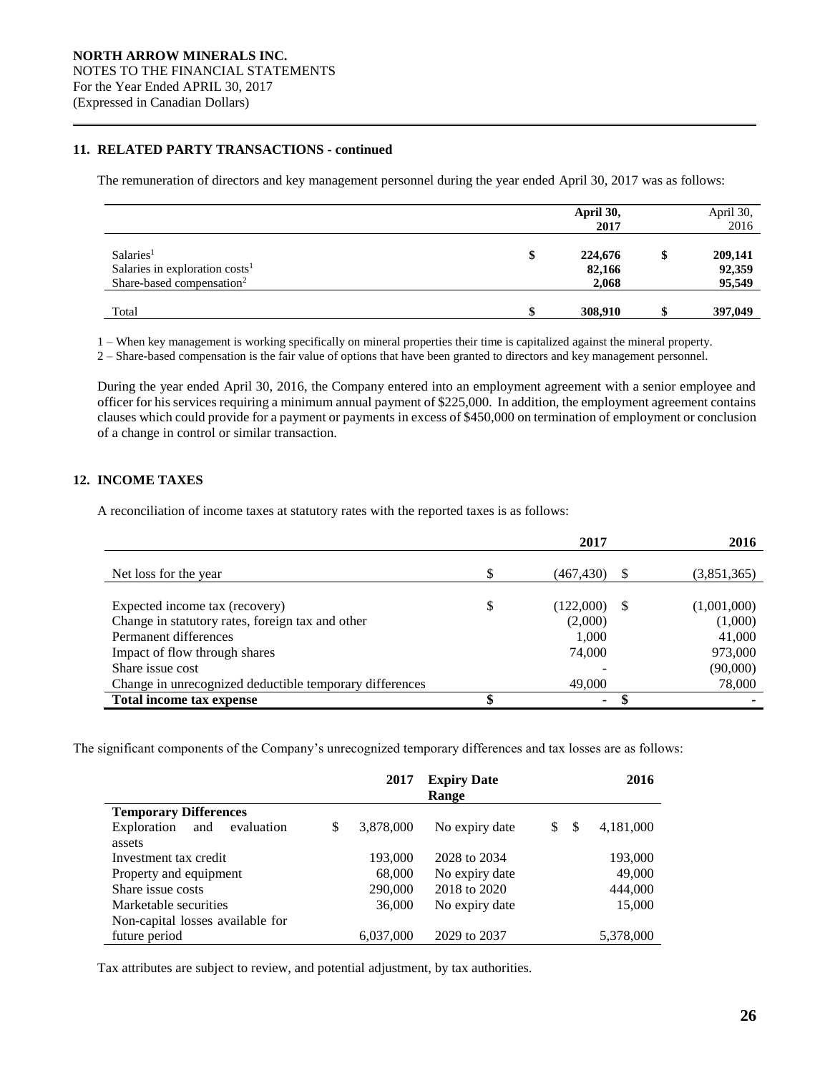# **11. RELATED PARTY TRANSACTIONS - continued**

The remuneration of directors and key management personnel during the year ended April 30, 2017 was as follows:

|                                                                                                              |    | April 30,<br>2017          | April 30,<br>2016                 |
|--------------------------------------------------------------------------------------------------------------|----|----------------------------|-----------------------------------|
| Salaries <sup>1</sup><br>Salaries in exploration costs <sup>1</sup><br>Share-based compensation <sup>2</sup> | \$ | 224,676<br>82,166<br>2,068 | \$<br>209,141<br>92,359<br>95,549 |
| Total                                                                                                        | ₼  | 308,910                    | 397,049                           |

1 – When key management is working specifically on mineral properties their time is capitalized against the mineral property.

2 – Share-based compensation is the fair value of options that have been granted to directors and key management personnel.

During the year ended April 30, 2016, the Company entered into an employment agreement with a senior employee and officer for his services requiring a minimum annual payment of \$225,000. In addition, the employment agreement contains clauses which could provide for a payment or payments in excess of \$450,000 on termination of employment or conclusion of a change in control or similar transaction.

# **12. INCOME TAXES**

A reconciliation of income taxes at statutory rates with the reported taxes is as follows:

|                                                         | 2017            |          | 2016        |
|---------------------------------------------------------|-----------------|----------|-------------|
| Net loss for the year                                   | (467, 430)      | <b>S</b> | (3,851,365) |
|                                                         |                 |          |             |
| Expected income tax (recovery)                          | \$<br>(122,000) | -S       | (1,001,000) |
| Change in statutory rates, foreign tax and other        | (2,000)         |          | (1,000)     |
| Permanent differences                                   | 1.000           |          | 41,000      |
| Impact of flow through shares                           | 74,000          |          | 973,000     |
| Share issue cost                                        |                 |          | (90,000)    |
| Change in unrecognized deductible temporary differences | 49,000          |          | 78,000      |
| Total income tax expense                                | ٠               |          |             |

The significant components of the Company's unrecognized temporary differences and tax losses are as follows:

|                                  | 2017            | <b>Expiry Date</b><br>Range |         | 2016      |
|----------------------------------|-----------------|-----------------------------|---------|-----------|
| <b>Temporary Differences</b>     |                 |                             |         |           |
| Exploration<br>evaluation<br>and | \$<br>3,878,000 | No expiry date              | \$<br>S | 4,181,000 |
| assets                           |                 |                             |         |           |
| Investment tax credit            | 193,000         | 2028 to 2034                |         | 193,000   |
| Property and equipment           | 68,000          | No expiry date              |         | 49,000    |
| Share issue costs                | 290,000         | 2018 to 2020                |         | 444,000   |
| Marketable securities            | 36,000          | No expiry date              |         | 15,000    |
| Non-capital losses available for |                 |                             |         |           |
| future period                    | 6,037,000       | 2029 to 2037                |         | 5,378,000 |

Tax attributes are subject to review, and potential adjustment, by tax authorities.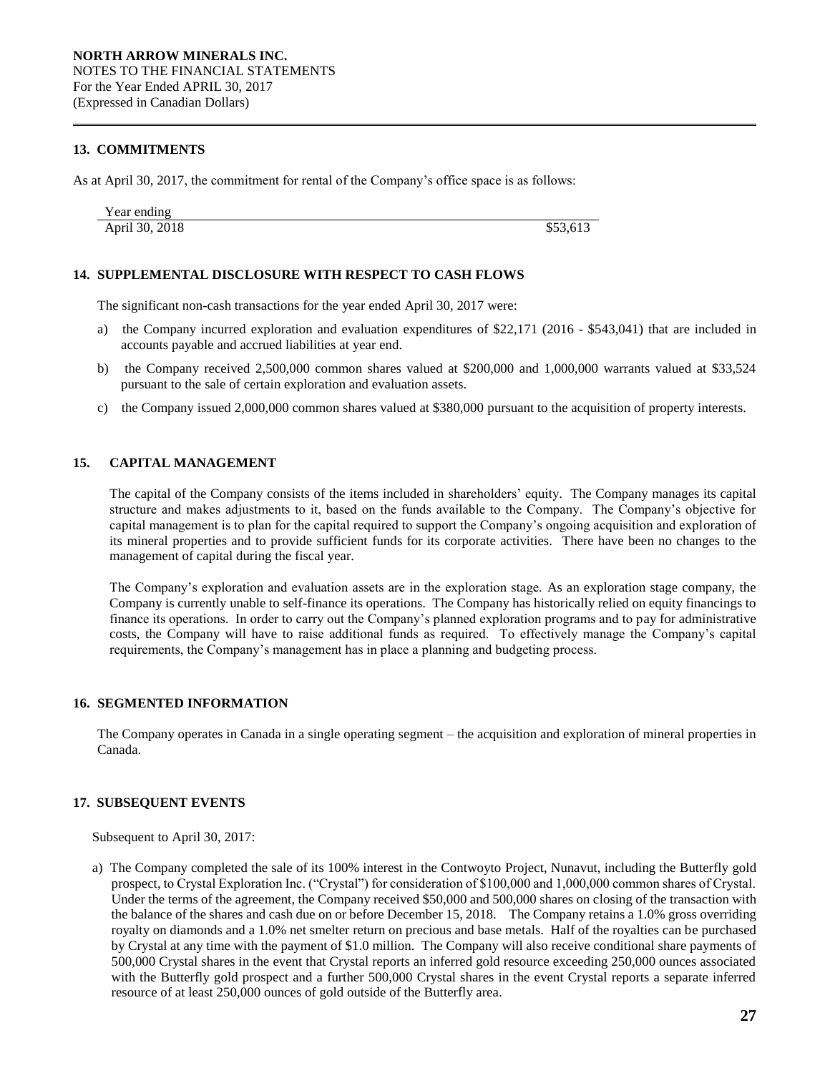# **13. COMMITMENTS**

As at April 30, 2017, the commitment for rental of the Company's office space is as follows:

| Year ending    |          |  |
|----------------|----------|--|
| April 30, 2018 | \$53,613 |  |

# **14. SUPPLEMENTAL DISCLOSURE WITH RESPECT TO CASH FLOWS**

The significant non-cash transactions for the year ended April 30, 2017 were:

- a) the Company incurred exploration and evaluation expenditures of \$22,171 (2016 \$543,041) that are included in accounts payable and accrued liabilities at year end.
- b) the Company received 2,500,000 common shares valued at \$200,000 and 1,000,000 warrants valued at \$33,524 pursuant to the sale of certain exploration and evaluation assets.
- c) the Company issued 2,000,000 common shares valued at \$380,000 pursuant to the acquisition of property interests.

# **15. CAPITAL MANAGEMENT**

The capital of the Company consists of the items included in shareholders' equity. The Company manages its capital structure and makes adjustments to it, based on the funds available to the Company. The Company's objective for capital management is to plan for the capital required to support the Company's ongoing acquisition and exploration of its mineral properties and to provide sufficient funds for its corporate activities. There have been no changes to the management of capital during the fiscal year.

The Company's exploration and evaluation assets are in the exploration stage. As an exploration stage company, the Company is currently unable to self-finance its operations. The Company has historically relied on equity financings to finance its operations. In order to carry out the Company's planned exploration programs and to pay for administrative costs, the Company will have to raise additional funds as required. To effectively manage the Company's capital requirements, the Company's management has in place a planning and budgeting process.

# **16. SEGMENTED INFORMATION**

The Company operates in Canada in a single operating segment – the acquisition and exploration of mineral properties in Canada.

#### **17. SUBSEQUENT EVENTS**

Subsequent to April 30, 2017:

a) The Company completed the sale of its 100% interest in the Contwoyto Project, Nunavut, including the Butterfly gold prospect, to Crystal Exploration Inc. ("Crystal") for consideration of \$100,000 and 1,000,000 common shares of Crystal. Under the terms of the agreement, the Company received \$50,000 and 500,000 shares on closing of the transaction with the balance of the shares and cash due on or before December 15, 2018. The Company retains a 1.0% gross overriding royalty on diamonds and a 1.0% net smelter return on precious and base metals. Half of the royalties can be purchased by Crystal at any time with the payment of \$1.0 million. The Company will also receive conditional share payments of 500,000 Crystal shares in the event that Crystal reports an inferred gold resource exceeding 250,000 ounces associated with the Butterfly gold prospect and a further 500,000 Crystal shares in the event Crystal reports a separate inferred resource of at least 250,000 ounces of gold outside of the Butterfly area.